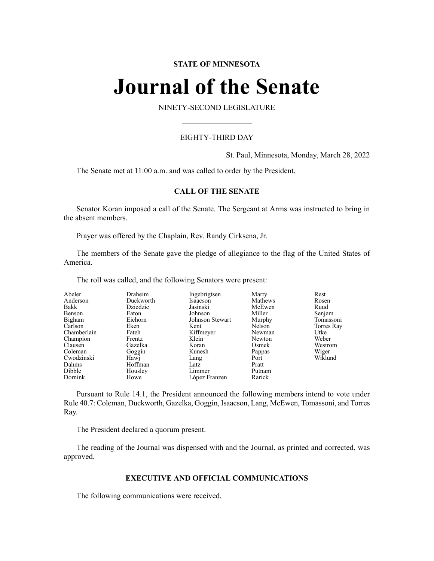# **STATE OF MINNESOTA**

# **Journal of the Senate**

NINETY-SECOND LEGISLATURE

# EIGHTY-THIRD DAY

St. Paul, Minnesota, Monday, March 28, 2022

The Senate met at 11:00 a.m. and was called to order by the President.

# **CALL OF THE SENATE**

Senator Koran imposed a call of the Senate. The Sergeant at Arms was instructed to bring in the absent members.

Prayer was offered by the Chaplain, Rev. Randy Cirksena, Jr.

The members of the Senate gave the pledge of allegiance to the flag of the United States of America.

The roll was called, and the following Senators were present:

| Abeler      | Draheim   | Ingebrigtsen    | Marty   | Rest       |
|-------------|-----------|-----------------|---------|------------|
| Anderson    | Duckworth | Isaacson        | Mathews | Rosen      |
| Bakk        | Dziedzic  | Jasinski        | McEwen  | Ruud       |
| Benson      | Eaton     | Johnson         | Miller  | Senjem     |
| Bigham      | Eichorn   | Johnson Stewart | Murphy  | Tomassoni  |
| Carlson     | Eken      | Kent            | Nelson  | Torres Ray |
| Chamberlain | Fateh     | Kiffmeyer       | Newman  | Utke       |
| Champion    | Frentz    | Klein           | Newton  | Weber      |
| Clausen     | Gazelka   | Koran           | Osmek   | Westrom    |
| Coleman     | Goggin    | Kunesh          | Pappas  | Wiger      |
| Cwodzinski  | Hawj      | Lang            | Port    | Wiklund    |
| Dahms       | Hoffman   | Latz            | Pratt   |            |
| Dibble      | Housley   | Limmer          | Putnam  |            |
| Dornink     | Howe      | López Franzen   | Rarick  |            |

Pursuant to Rule 14.1, the President announced the following members intend to vote under Rule 40.7: Coleman, Duckworth, Gazelka, Goggin, Isaacson, Lang, McEwen, Tomassoni, and Torres Ray.

The President declared a quorum present.

The reading of the Journal was dispensed with and the Journal, as printed and corrected, was approved.

# **EXECUTIVE AND OFFICIAL COMMUNICATIONS**

The following communications were received.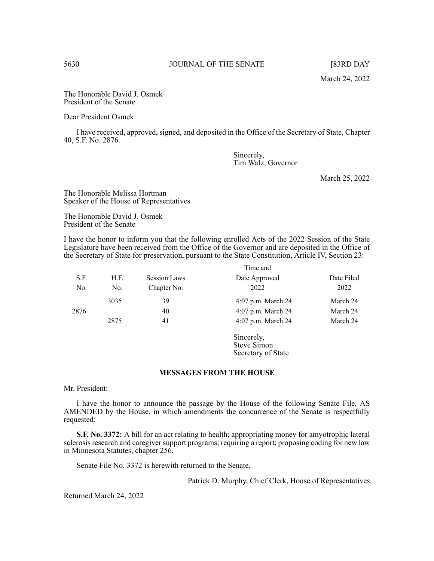The Honorable David J. Osmek President of the Senate

Dear President Osmek:

I have received, approved, signed, and deposited in the Office of the Secretary of State, Chapter 40, S.F. No. 2876.

> Sincerely, Tim Walz, Governor

> > March 25, 2022

The Honorable Melissa Hortman Speaker of the House of Representatives

The Honorable David J. Osmek President of the Senate

I have the honor to inform you that the following enrolled Acts of the 2022 Session of the State Legislature have been received from the Office of the Governor and are deposited in the Office of the Secretary of State for preservation, pursuant to the State Constitution, Article IV, Section 23:

|      |      |                     | Time and           |            |
|------|------|---------------------|--------------------|------------|
| S.F. | H.F. | <b>Session Laws</b> | Date Approved      | Date Filed |
| No.  | No.  | Chapter No.         | 2022               | 2022       |
|      | 3035 | 39                  | 4:07 p.m. March 24 | March 24   |
| 2876 |      | 40                  | 4:07 p.m. March 24 | March 24   |
|      | 2875 | 41                  | 4:07 p.m. March 24 | March 24   |

Sincerely, Steve Simon Secretary of State

#### **MESSAGES FROM THE HOUSE**

Mr. President:

I have the honor to announce the passage by the House of the following Senate File, AS AMENDED by the House, in which amendments the concurrence of the Senate is respectfully requested:

**S.F. No. 3372:** A bill for an act relating to health; appropriating money for amyotrophic lateral sclerosis research and caregiver support programs; requiring a report; proposing coding for new law in Minnesota Statutes, chapter 256.

Senate File No. 3372 is herewith returned to the Senate.

Patrick D. Murphy, Chief Clerk, House of Representatives

Returned March 24, 2022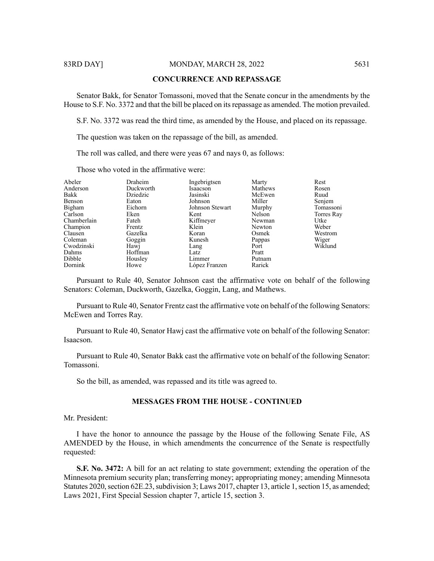83RD DAY] MONDAY, MARCH 28, 2022 5631

#### **CONCURRENCE AND REPASSAGE**

Senator Bakk, for Senator Tomassoni, moved that the Senate concur in the amendments by the House to S.F. No. 3372 and that the bill be placed on its repassage as amended. The motion prevailed.

S.F. No. 3372 was read the third time, as amended by the House, and placed on its repassage.

The question was taken on the repassage of the bill, as amended.

The roll was called, and there were yeas 67 and nays 0, as follows:

Those who voted in the affirmative were:

| Ingebrigtsen<br>Anderson<br>Duckworth<br>Mathews<br>Isaacson<br>Rosen<br>Bakk<br>Dziedzic<br>McEwen<br>Jasinski<br>Ruud<br>Benson<br>Johnson<br>Miller<br>Senjem<br>Eaton<br>Bigham<br>Tomassoni<br>Eichorn<br>Johnson Stewart<br>Murphy |  |
|------------------------------------------------------------------------------------------------------------------------------------------------------------------------------------------------------------------------------------------|--|
|                                                                                                                                                                                                                                          |  |
|                                                                                                                                                                                                                                          |  |
|                                                                                                                                                                                                                                          |  |
|                                                                                                                                                                                                                                          |  |
| Carlson<br>Nelson<br>Eken<br>Kent<br>Torres Ray                                                                                                                                                                                          |  |
| Chamberlain<br>Kiffmeyer<br>Utke<br>Fateh<br>Newman                                                                                                                                                                                      |  |
| Klein<br>Weber<br>Champion<br>Newton<br>Frentz                                                                                                                                                                                           |  |
| Clausen<br>Gazelka<br>Osmek<br>Westrom<br>Koran                                                                                                                                                                                          |  |
| Wiger<br>Coleman<br>Kunesh<br>Goggin<br>Pappas                                                                                                                                                                                           |  |
| Wiklund<br>Cwodzinski<br>Hawj<br>Port<br>Lang                                                                                                                                                                                            |  |
| Dahms<br>Hoffman<br>Latz<br>Pratt                                                                                                                                                                                                        |  |
| Dibble<br>Limmer<br>Housley<br>Putnam                                                                                                                                                                                                    |  |
| Rarick<br>Dornink<br>López Franzen<br>Howe                                                                                                                                                                                               |  |

Pursuant to Rule 40, Senator Johnson cast the affirmative vote on behalf of the following Senators: Coleman, Duckworth, Gazelka, Goggin, Lang, and Mathews.

Pursuant to Rule 40, Senator Frentz cast the affirmative vote on behalf of the following Senators: McEwen and Torres Ray.

Pursuant to Rule 40, Senator Hawj cast the affirmative vote on behalf of the following Senator: Isaacson.

Pursuant to Rule 40, Senator Bakk cast the affirmative vote on behalf of the following Senator: Tomassoni.

So the bill, as amended, was repassed and its title was agreed to.

# **MESSAGES FROM THE HOUSE - CONTINUED**

Mr. President:

I have the honor to announce the passage by the House of the following Senate File, AS AMENDED by the House, in which amendments the concurrence of the Senate is respectfully requested:

**S.F. No. 3472:** A bill for an act relating to state government; extending the operation of the Minnesota premium security plan; transferring money; appropriating money; amending Minnesota Statutes 2020, section 62E.23, subdivision 3; Laws 2017, chapter 13, article 1, section 15, as amended; Laws 2021, First Special Session chapter 7, article 15, section 3.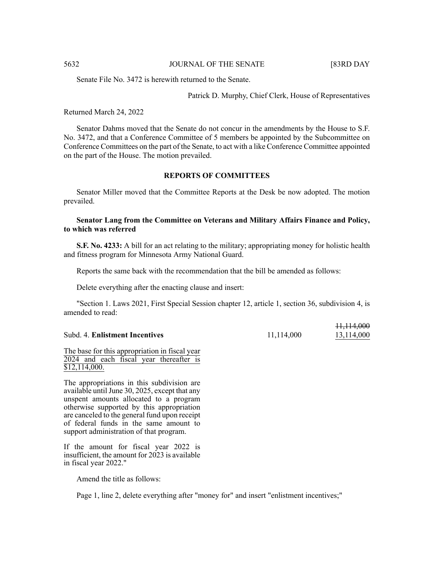11,114,000

Senate File No. 3472 is herewith returned to the Senate.

Patrick D. Murphy, Chief Clerk, House of Representatives

#### Returned March 24, 2022

Senator Dahms moved that the Senate do not concur in the amendments by the House to S.F. No. 3472, and that a Conference Committee of 5 members be appointed by the Subcommittee on Conference Committees on the part of the Senate, to act with a like Conference Committee appointed on the part of the House. The motion prevailed.

# **REPORTS OF COMMITTEES**

Senator Miller moved that the Committee Reports at the Desk be now adopted. The motion prevailed.

# **Senator Lang from the Committee on Veterans and Military Affairs Finance and Policy, to which was referred**

**S.F. No. 4233:** A bill for an act relating to the military; appropriating money for holistic health and fitness program for Minnesota Army National Guard.

Reports the same back with the recommendation that the bill be amended as follows:

Delete everything after the enacting clause and insert:

"Section 1. Laws 2021, First Special Session chapter 12, article 1, section 36, subdivision 4, is amended to read:

|                                |            | 11,111,000 |
|--------------------------------|------------|------------|
| Subd. 4. Enlistment Incentives | 11,114,000 | 13,114,000 |

#### The base for this appropriation in fiscal year 2024 and each fiscal year thereafter is \$12,114,000.

The appropriations in this subdivision are available until June 30, 2025, except that any unspent amounts allocated to a program otherwise supported by this appropriation are canceled to the general fund upon receipt of federal funds in the same amount to support administration of that program.

If the amount for fiscal year 2022 is insufficient, the amount for 2023 is available in fiscal year 2022."

Amend the title as follows:

Page 1, line 2, delete everything after "money for" and insert "enlistment incentives;"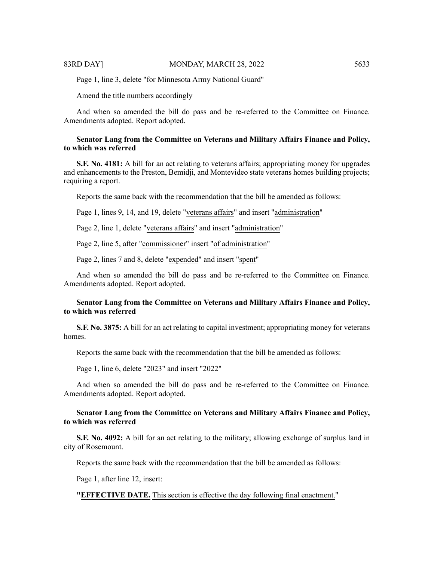Page 1, line 3, delete "for Minnesota Army National Guard"

Amend the title numbers accordingly

And when so amended the bill do pass and be re-referred to the Committee on Finance. Amendments adopted. Report adopted.

# **Senator Lang from the Committee on Veterans and Military Affairs Finance and Policy, to which was referred**

**S.F. No. 4181:** A bill for an act relating to veterans affairs; appropriating money for upgrades and enhancements to the Preston, Bemidji, and Montevideo state veterans homes building projects; requiring a report.

Reports the same back with the recommendation that the bill be amended as follows:

Page 1, lines 9, 14, and 19, delete "veterans affairs" and insert "administration"

Page 2, line 1, delete "veterans affairs" and insert "administration"

Page 2, line 5, after "commissioner" insert "of administration"

Page 2, lines 7 and 8, delete "expended" and insert "spent"

And when so amended the bill do pass and be re-referred to the Committee on Finance. Amendments adopted. Report adopted.

# **Senator Lang from the Committee on Veterans and Military Affairs Finance and Policy, to which was referred**

**S.F. No. 3875:** A bill for an act relating to capital investment; appropriating money for veterans homes.

Reports the same back with the recommendation that the bill be amended as follows:

Page 1, line 6, delete "2023" and insert "2022"

And when so amended the bill do pass and be re-referred to the Committee on Finance. Amendments adopted. Report adopted.

# **Senator Lang from the Committee on Veterans and Military Affairs Finance and Policy, to which was referred**

**S.F. No. 4092:** A bill for an act relating to the military; allowing exchange of surplus land in city of Rosemount.

Reports the same back with the recommendation that the bill be amended as follows:

Page 1, after line 12, insert:

**"EFFECTIVE DATE.** This section is effective the day following final enactment."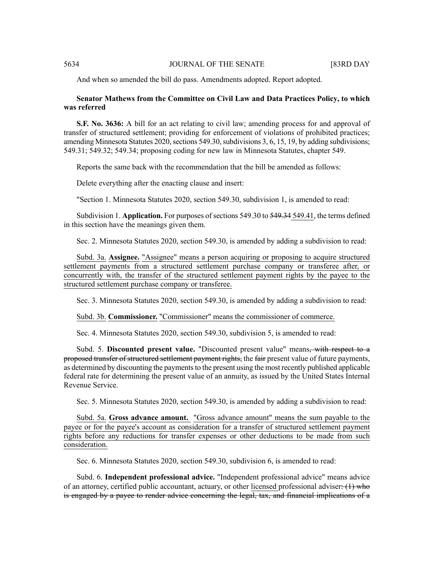And when so amended the bill do pass. Amendments adopted. Report adopted.

# **Senator Mathews from the Committee on Civil Law and Data Practices Policy, to which was referred**

**S.F. No. 3636:** A bill for an act relating to civil law; amending process for and approval of transfer of structured settlement; providing for enforcement of violations of prohibited practices; amending Minnesota Statutes  $2020$ , sections  $549.30$ , subdivisions 3, 6, 15, 19, by adding subdivisions; 549.31; 549.32; 549.34; proposing coding for new law in Minnesota Statutes, chapter 549.

Reports the same back with the recommendation that the bill be amended as follows:

Delete everything after the enacting clause and insert:

"Section 1. Minnesota Statutes 2020, section 549.30, subdivision 1, is amended to read:

Subdivision 1. **Application.** For purposes of sections 549.30 to 549.34 549.41, the terms defined in this section have the meanings given them.

Sec. 2. Minnesota Statutes 2020, section 549.30, is amended by adding a subdivision to read:

Subd. 3a. **Assignee.** "Assignee" means a person acquiring or proposing to acquire structured settlement payments from a structured settlement purchase company or transferee after, or concurrently with, the transfer of the structured settlement payment rights by the payee to the structured settlement purchase company or transferee.

Sec. 3. Minnesota Statutes 2020, section 549.30, is amended by adding a subdivision to read:

Subd. 3b. **Commissioner.** "Commissioner" means the commissioner of commerce.

Sec. 4. Minnesota Statutes 2020, section 549.30, subdivision 5, is amended to read:

Subd. 5. **Discounted present value.** "Discounted present value" means, with respect to a proposed transfer of structured settlement payment rights, the fair present value of future payments, as determined by discounting the payments to the present using the most recently published applicable federal rate for determining the present value of an annuity, as issued by the United States Internal Revenue Service.

Sec. 5. Minnesota Statutes 2020, section 549.30, is amended by adding a subdivision to read:

Subd. 5a. **Gross advance amount.** "Gross advance amount" means the sum payable to the payee or for the payee's account as consideration for a transfer of structured settlement payment rights before any reductions for transfer expenses or other deductions to be made from such consideration.

Sec. 6. Minnesota Statutes 2020, section 549.30, subdivision 6, is amended to read:

Subd. 6. **Independent professional advice.** "Independent professional advice" means advice of an attorney, certified public accountant, actuary, or other licensed professional adviser: (1) who is engaged by a payee to render advice concerning the legal, tax, and financial implications of a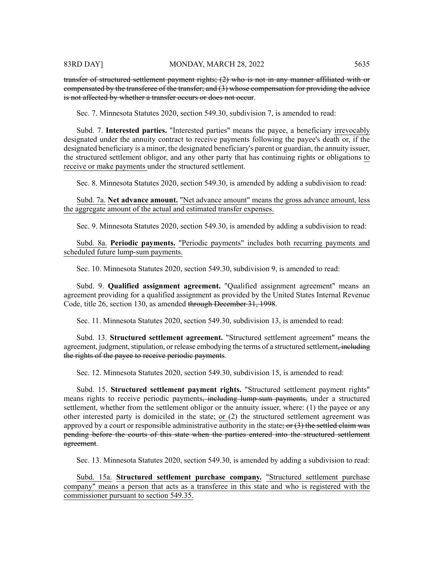transfer of structured settlement payment rights; (2) who is not in any manner affiliated with or compensated by the transferee of the transfer; and (3) whose compensation for providing the advice is not affected by whether a transfer occurs or does not occur.

Sec. 7. Minnesota Statutes 2020, section 549.30, subdivision 7, is amended to read:

Subd. 7. **Interested parties.** "Interested parties" means the payee, a beneficiary irrevocably designated under the annuity contract to receive payments following the payee's death or, if the designated beneficiary is a minor, the designated beneficiary's parent or guardian, the annuity issuer, the structured settlement obligor, and any other party that has continuing rights or obligations to receive or make payments under the structured settlement.

Sec. 8. Minnesota Statutes 2020, section 549.30, is amended by adding a subdivision to read:

Subd. 7a. **Net advance amount.** "Net advance amount" means the gross advance amount, less the aggregate amount of the actual and estimated transfer expenses.

Sec. 9. Minnesota Statutes 2020, section 549.30, is amended by adding a subdivision to read:

Subd. 8a. **Periodic payments.** "Periodic payments" includes both recurring payments and scheduled future lump-sum payments.

Sec. 10. Minnesota Statutes 2020, section 549.30, subdivision 9, is amended to read:

Subd. 9. **Qualified assignment agreement.** "Qualified assignment agreement" means an agreement providing for a qualified assignment as provided by the United States Internal Revenue Code, title 26, section 130, as amended through December 31, 1998.

Sec. 11. Minnesota Statutes 2020, section 549.30, subdivision 13, is amended to read:

Subd. 13. **Structured settlement agreement.** "Structured settlement agreement" means the agreement, judgment, stipulation, or release embodying the terms of a structured settlement<del>, including</del> the rights of the payee to receive periodic payments.

Sec. 12. Minnesota Statutes 2020, section 549.30, subdivision 15, is amended to read:

Subd. 15. **Structured settlement payment rights.** "Structured settlement payment rights" means rights to receive periodic payments<del>, including lump-sum payments,</del> under a structured settlement, whether from the settlement obligor or the annuity issuer, where: (1) the payee or any other interested party is domiciled in the state; or (2) the structured settlement agreement was approved by a court or responsible administrative authority in the state; or  $(3)$  the settled claim was pending before the courts of this state when the parties entered into the structured settlement agreement.

Sec. 13. Minnesota Statutes 2020, section 549.30, is amended by adding a subdivision to read:

Subd. 15a. **Structured settlement purchase company.** "Structured settlement purchase company" means a person that acts as a transferee in this state and who is registered with the commissioner pursuant to section 549.35.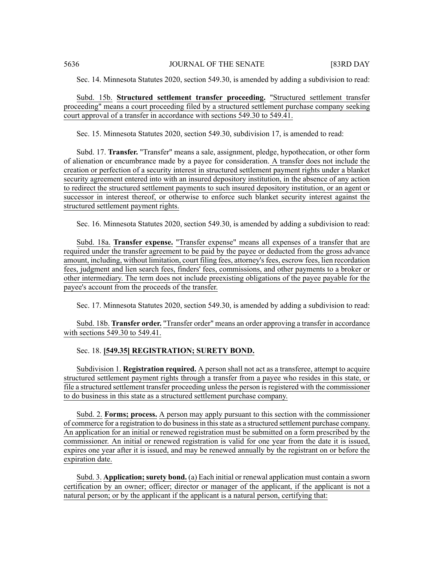Sec. 14. Minnesota Statutes 2020, section 549.30, is amended by adding a subdivision to read:

Subd. 15b. **Structured settlement transfer proceeding.** "Structured settlement transfer proceeding" means a court proceeding filed by a structured settlement purchase company seeking court approval of a transfer in accordance with sections 549.30 to 549.41.

Sec. 15. Minnesota Statutes 2020, section 549.30, subdivision 17, is amended to read:

Subd. 17. **Transfer.** "Transfer" means a sale, assignment, pledge, hypothecation, or other form of alienation or encumbrance made by a payee for consideration. A transfer does not include the creation or perfection of a security interest in structured settlement payment rights under a blanket security agreement entered into with an insured depository institution, in the absence of any action to redirect the structured settlement payments to such insured depository institution, or an agent or successor in interest thereof, or otherwise to enforce such blanket security interest against the structured settlement payment rights.

Sec. 16. Minnesota Statutes 2020, section 549.30, is amended by adding a subdivision to read:

Subd. 18a. **Transfer expense.** "Transfer expense" means all expenses of a transfer that are required under the transfer agreement to be paid by the payee or deducted from the gross advance amount, including, without limitation, court filing fees, attorney's fees, escrow fees, lien recordation fees, judgment and lien search fees, finders' fees, commissions, and other payments to a broker or other intermediary. The term does not include preexisting obligations of the payee payable for the payee's account from the proceeds of the transfer.

Sec. 17. Minnesota Statutes 2020, section 549.30, is amended by adding a subdivision to read:

Subd. 18b. **Transfer order.** "Transfer order" means an order approving a transfer in accordance with sections 549.30 to 549.41.

Sec. 18. **[549.35] REGISTRATION; SURETY BOND.**

Subdivision 1. **Registration required.** A person shall not act as a transferee, attempt to acquire structured settlement payment rights through a transfer from a payee who resides in this state, or file a structured settlement transfer proceeding unless the person is registered with the commissioner to do business in this state as a structured settlement purchase company.

Subd. 2. **Forms; process.** A person may apply pursuant to this section with the commissioner of commerce for a registration to do businessin thisstate as a structured settlement purchase company. An application for an initial or renewed registration must be submitted on a form prescribed by the commissioner. An initial or renewed registration is valid for one year from the date it is issued, expires one year after it is issued, and may be renewed annually by the registrant on or before the expiration date.

Subd. 3. **Application; surety bond.** (a) Each initial or renewal application must contain a sworn certification by an owner; officer; director or manager of the applicant, if the applicant is not a natural person; or by the applicant if the applicant is a natural person, certifying that: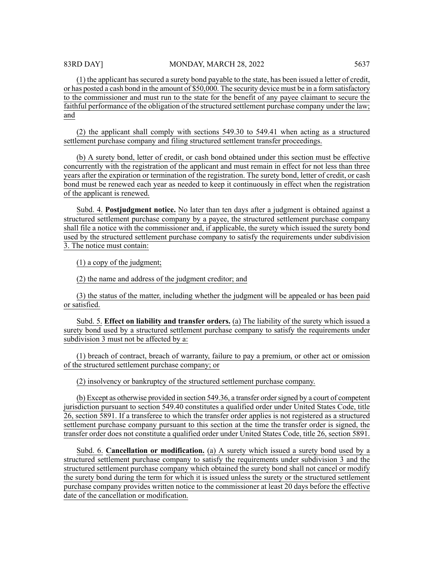(1) the applicant has secured a surety bond payable to the state, has been issued a letter of credit, or has posted a cash bond in the amount of \$50,000. The security device must be in a form satisfactory to the commissioner and must run to the state for the benefit of any payee claimant to secure the faithful performance of the obligation of the structured settlement purchase company under the law; and

(2) the applicant shall comply with sections 549.30 to 549.41 when acting as a structured settlement purchase company and filing structured settlement transfer proceedings.

(b) A surety bond, letter of credit, or cash bond obtained under this section must be effective concurrently with the registration of the applicant and must remain in effect for not less than three years after the expiration or termination of the registration. The surety bond, letter of credit, or cash bond must be renewed each year as needed to keep it continuously in effect when the registration of the applicant is renewed.

Subd. 4. **Postjudgment notice.** No later than ten days after a judgment is obtained against a structured settlement purchase company by a payee, the structured settlement purchase company shall file a notice with the commissioner and, if applicable, the surety which issued the surety bond used by the structured settlement purchase company to satisfy the requirements under subdivision 3. The notice must contain:

(1) a copy of the judgment;

(2) the name and address of the judgment creditor; and

(3) the status of the matter, including whether the judgment will be appealed or has been paid or satisfied.

Subd. 5. **Effect on liability and transfer orders.** (a) The liability of the surety which issued a surety bond used by a structured settlement purchase company to satisfy the requirements under subdivision 3 must not be affected by a:

(1) breach of contract, breach of warranty, failure to pay a premium, or other act or omission of the structured settlement purchase company; or

(2) insolvency or bankruptcy of the structured settlement purchase company.

(b) Except as otherwise provided in section 549.36, a transfer ordersigned by a court of competent jurisdiction pursuant to section 549.40 constitutes a qualified order under United States Code, title 26, section 5891. If a transferee to which the transfer order applies is not registered as a structured settlement purchase company pursuant to this section at the time the transfer order is signed, the transfer order does not constitute a qualified order under United States Code, title 26, section 5891.

Subd. 6. **Cancellation or modification.** (a) A surety which issued a surety bond used by a structured settlement purchase company to satisfy the requirements under subdivision 3 and the structured settlement purchase company which obtained the surety bond shall not cancel or modify the surety bond during the term for which it is issued unless the surety or the structured settlement purchase company provides written notice to the commissioner at least 20 days before the effective date of the cancellation or modification.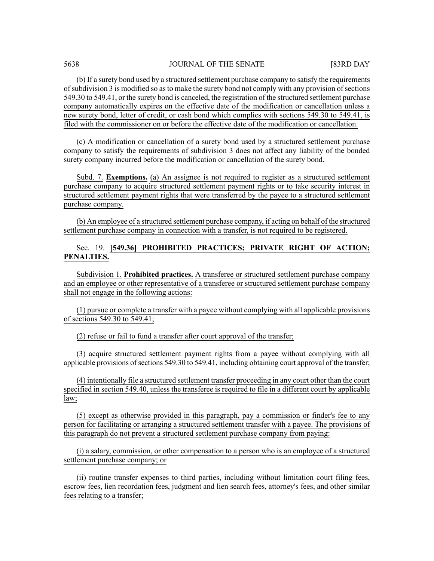(b) If a surety bond used by a structured settlement purchase company to satisfy the requirements of subdivision 3 is modified so as to make the surety bond not comply with any provision of sections 549.30 to 549.41, or the surety bond is canceled, the registration of the structured settlement purchase company automatically expires on the effective date of the modification or cancellation unless a new surety bond, letter of credit, or cash bond which complies with sections 549.30 to 549.41, is filed with the commissioner on or before the effective date of the modification or cancellation.

(c) A modification or cancellation of a surety bond used by a structured settlement purchase company to satisfy the requirements of subdivision 3 does not affect any liability of the bonded surety company incurred before the modification or cancellation of the surety bond.

Subd. 7. **Exemptions.** (a) An assignee is not required to register as a structured settlement purchase company to acquire structured settlement payment rights or to take security interest in structured settlement payment rights that were transferred by the payee to a structured settlement purchase company.

(b) An employee of a structured settlement purchase company, if acting on behalf of the structured settlement purchase company in connection with a transfer, is not required to be registered.

# Sec. 19. **[549.36] PROHIBITED PRACTICES; PRIVATE RIGHT OF ACTION; PENALTIES.**

Subdivision 1. **Prohibited practices.** A transferee or structured settlement purchase company and an employee or other representative of a transferee or structured settlement purchase company shall not engage in the following actions:

(1) pursue or complete a transfer with a payee without complying with all applicable provisions of sections 549.30 to 549.41;

(2) refuse or fail to fund a transfer after court approval of the transfer;

(3) acquire structured settlement payment rights from a payee without complying with all applicable provisions of sections 549.30 to 549.41, including obtaining court approval of the transfer;

(4) intentionally file a structured settlement transfer proceeding in any court other than the court specified in section 549.40, unless the transferee is required to file in a different court by applicable law;

(5) except as otherwise provided in this paragraph, pay a commission or finder's fee to any person for facilitating or arranging a structured settlement transfer with a payee. The provisions of this paragraph do not prevent a structured settlement purchase company from paying:

(i) a salary, commission, or other compensation to a person who is an employee of a structured settlement purchase company; or

(ii) routine transfer expenses to third parties, including without limitation court filing fees, escrow fees, lien recordation fees, judgment and lien search fees, attorney's fees, and other similar fees relating to a transfer;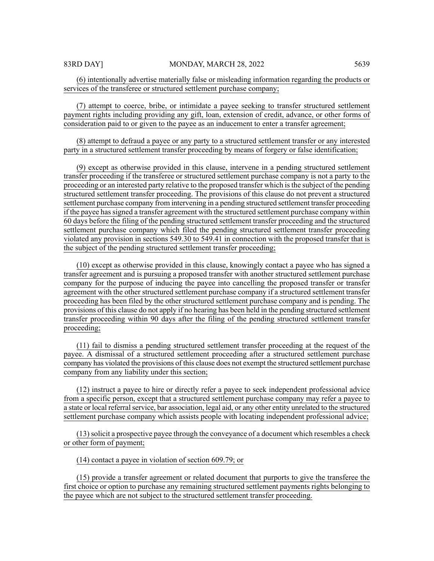(6) intentionally advertise materially false or misleading information regarding the products or services of the transferee or structured settlement purchase company;

(7) attempt to coerce, bribe, or intimidate a payee seeking to transfer structured settlement payment rights including providing any gift, loan, extension of credit, advance, or other forms of consideration paid to or given to the payee as an inducement to enter a transfer agreement;

(8) attempt to defraud a payee or any party to a structured settlement transfer or any interested party in a structured settlement transfer proceeding by means of forgery or false identification;

(9) except as otherwise provided in this clause, intervene in a pending structured settlement transfer proceeding if the transferee or structured settlement purchase company is not a party to the proceeding or an interested party relative to the proposed transfer which isthe subject of the pending structured settlement transfer proceeding. The provisions of this clause do not prevent a structured settlement purchase company from intervening in a pending structured settlement transfer proceeding if the payee hassigned a transfer agreement with the structured settlement purchase company within 60 days before the filing of the pending structured settlement transfer proceeding and the structured settlement purchase company which filed the pending structured settlement transfer proceeding violated any provision in sections 549.30 to 549.41 in connection with the proposed transfer that is the subject of the pending structured settlement transfer proceeding;

(10) except as otherwise provided in this clause, knowingly contact a payee who has signed a transfer agreement and is pursuing a proposed transfer with another structured settlement purchase company for the purpose of inducing the payee into cancelling the proposed transfer or transfer agreement with the other structured settlement purchase company if a structured settlement transfer proceeding has been filed by the other structured settlement purchase company and is pending. The provisions of this clause do not apply if no hearing has been held in the pending structured settlement transfer proceeding within 90 days after the filing of the pending structured settlement transfer proceeding;

(11) fail to dismiss a pending structured settlement transfer proceeding at the request of the payee. A dismissal of a structured settlement proceeding after a structured settlement purchase company has violated the provisions of this clause does not exempt the structured settlement purchase company from any liability under this section;

(12) instruct a payee to hire or directly refer a payee to seek independent professional advice from a specific person, except that a structured settlement purchase company may refer a payee to a state or local referral service, bar association, legal aid, or any other entity unrelated to the structured settlement purchase company which assists people with locating independent professional advice;

(13)solicit a prospective payee through the conveyance of a document which resembles a check or other form of payment;

(14) contact a payee in violation of section 609.79; or

(15) provide a transfer agreement or related document that purports to give the transferee the first choice or option to purchase any remaining structured settlement payments rights belonging to the payee which are not subject to the structured settlement transfer proceeding.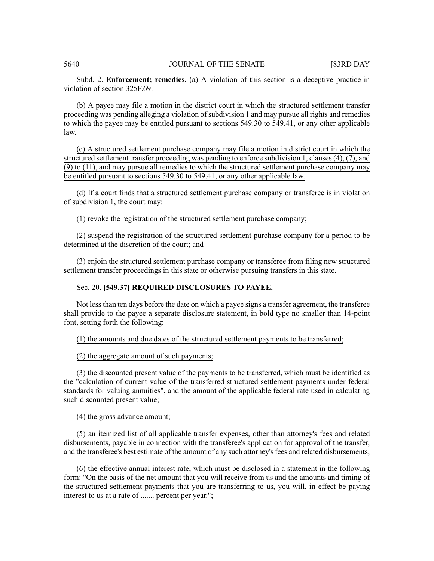Subd. 2. **Enforcement; remedies.** (a) A violation of this section is a deceptive practice in violation of section 325F.69.

(b) A payee may file a motion in the district court in which the structured settlement transfer proceeding was pending alleging a violation of subdivision 1 and may pursue all rights and remedies to which the payee may be entitled pursuant to sections 549.30 to 549.41, or any other applicable law.

(c) A structured settlement purchase company may file a motion in district court in which the structured settlement transfer proceeding was pending to enforce subdivision 1, clauses (4), (7), and (9) to (11), and may pursue all remedies to which the structured settlement purchase company may be entitled pursuant to sections 549.30 to 549.41, or any other applicable law.

(d) If a court finds that a structured settlement purchase company or transferee is in violation of subdivision 1, the court may:

(1) revoke the registration of the structured settlement purchase company;

(2) suspend the registration of the structured settlement purchase company for a period to be determined at the discretion of the court; and

(3) enjoin the structured settlement purchase company or transferee from filing new structured settlement transfer proceedings in this state or otherwise pursuing transfers in this state.

#### Sec. 20. **[549.37] REQUIRED DISCLOSURES TO PAYEE.**

Not less than ten days before the date on which a payee signs a transfer agreement, the transferee shall provide to the payee a separate disclosure statement, in bold type no smaller than 14-point font, setting forth the following:

(1) the amounts and due dates of the structured settlement payments to be transferred;

(2) the aggregate amount of such payments;

(3) the discounted present value of the payments to be transferred, which must be identified as the "calculation of current value of the transferred structured settlement payments under federal standards for valuing annuities", and the amount of the applicable federal rate used in calculating such discounted present value;

(4) the gross advance amount;

(5) an itemized list of all applicable transfer expenses, other than attorney's fees and related disbursements, payable in connection with the transferee's application for approval of the transfer, and the transferee's best estimate of the amount of any such attorney's fees and related disbursements;

(6) the effective annual interest rate, which must be disclosed in a statement in the following form: "On the basis of the net amount that you will receive from us and the amounts and timing of the structured settlement payments that you are transferring to us, you will, in effect be paying interest to us at a rate of ....... percent per year.";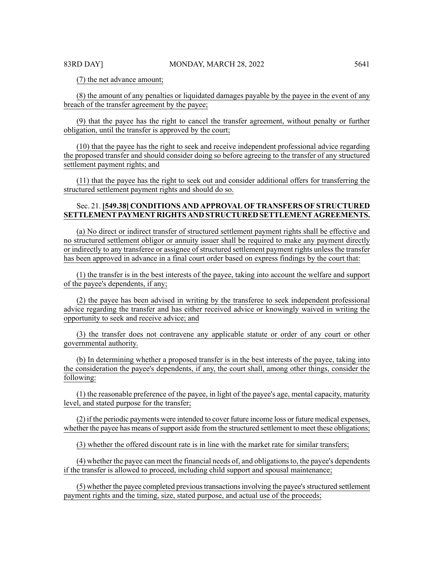(7) the net advance amount;

(8) the amount of any penalties or liquidated damages payable by the payee in the event of any breach of the transfer agreement by the payee;

(9) that the payee has the right to cancel the transfer agreement, without penalty or further obligation, until the transfer is approved by the court;

(10) that the payee has the right to seek and receive independent professional advice regarding the proposed transfer and should consider doing so before agreeing to the transfer of any structured settlement payment rights; and

(11) that the payee has the right to seek out and consider additional offers for transferring the structured settlement payment rights and should do so.

# Sec. 21. **[549.38] CONDITIONS AND APPROVAL OF TRANSFERS OF STRUCTURED SETTLEMENTPAYMENT RIGHTS AND STRUCTURED SETTLEMENT AGREEMENTS.**

(a) No direct or indirect transfer of structured settlement payment rights shall be effective and no structured settlement obligor or annuity issuer shall be required to make any payment directly or indirectly to any transferee or assignee of structured settlement payment rights unless the transfer has been approved in advance in a final court order based on express findings by the court that:

(1) the transfer is in the best interests of the payee, taking into account the welfare and support of the payee's dependents, if any;

(2) the payee has been advised in writing by the transferee to seek independent professional advice regarding the transfer and has either received advice or knowingly waived in writing the opportunity to seek and receive advice; and

(3) the transfer does not contravene any applicable statute or order of any court or other governmental authority.

(b) In determining whether a proposed transfer is in the best interests of the payee, taking into the consideration the payee's dependents, if any, the court shall, among other things, consider the following:

(1) the reasonable preference of the payee, in light of the payee's age, mental capacity, maturity level, and stated purpose for the transfer;

(2) if the periodic payments were intended to cover future income loss or future medical expenses, whether the payee has means of support aside from the structured settlement to meet these obligations;

(3) whether the offered discount rate is in line with the market rate for similar transfers;

(4) whether the payee can meet the financial needs of, and obligationsto, the payee's dependents if the transfer is allowed to proceed, including child support and spousal maintenance;

(5) whether the payee completed previous transactions involving the payee's structured settlement payment rights and the timing, size, stated purpose, and actual use of the proceeds;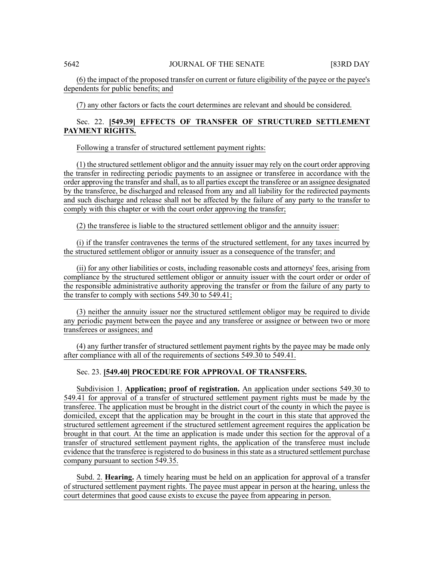(6) the impact of the proposed transfer on current or future eligibility of the payee or the payee's dependents for public benefits; and

(7) any other factors or facts the court determines are relevant and should be considered.

# Sec. 22. **[549.39] EFFECTS OF TRANSFER OF STRUCTURED SETTLEMENT PAYMENT RIGHTS.**

Following a transfer of structured settlement payment rights:

(1) the structured settlement obligor and the annuity issuer may rely on the court order approving the transfer in redirecting periodic payments to an assignee or transferee in accordance with the order approving the transfer and shall, as to all parties except the transferee or an assignee designated by the transferee, be discharged and released from any and all liability for the redirected payments and such discharge and release shall not be affected by the failure of any party to the transfer to comply with this chapter or with the court order approving the transfer;

(2) the transferee is liable to the structured settlement obligor and the annuity issuer:

(i) if the transfer contravenes the terms of the structured settlement, for any taxes incurred by the structured settlement obligor or annuity issuer as a consequence of the transfer; and

(ii) for any other liabilities or costs, including reasonable costs and attorneys' fees, arising from compliance by the structured settlement obligor or annuity issuer with the court order or order of the responsible administrative authority approving the transfer or from the failure of any party to the transfer to comply with sections 549.30 to 549.41;

(3) neither the annuity issuer nor the structured settlement obligor may be required to divide any periodic payment between the payee and any transferee or assignee or between two or more transferees or assignees; and

(4) any further transfer of structured settlement payment rights by the payee may be made only after compliance with all of the requirements of sections 549.30 to 549.41.

# Sec. 23. **[549.40] PROCEDURE FOR APPROVAL OF TRANSFERS.**

Subdivision 1. **Application; proof of registration.** An application under sections 549.30 to 549.41 for approval of a transfer of structured settlement payment rights must be made by the transferee. The application must be brought in the district court of the county in which the payee is domiciled, except that the application may be brought in the court in this state that approved the structured settlement agreement if the structured settlement agreement requires the application be brought in that court. At the time an application is made under this section for the approval of a transfer of structured settlement payment rights, the application of the transferee must include evidence that the transferee is registered to do business in this state as a structured settlement purchase company pursuant to section 549.35.

Subd. 2. **Hearing.** A timely hearing must be held on an application for approval of a transfer of structured settlement payment rights. The payee must appear in person at the hearing, unless the court determines that good cause exists to excuse the payee from appearing in person.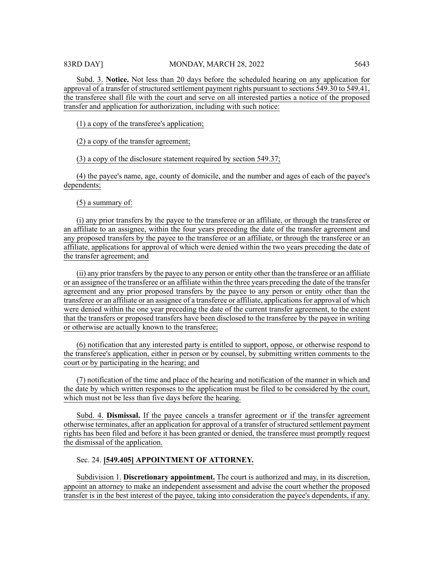Subd. 3. **Notice.** Not less than 20 days before the scheduled hearing on any application for approval of a transfer of structured settlement payment rights pursuant to sections 549.30 to 549.41, the transferee shall file with the court and serve on all interested parties a notice of the proposed transfer and application for authorization, including with such notice:

(1) a copy of the transferee's application;

(2) a copy of the transfer agreement;

(3) a copy of the disclosure statement required by section 549.37;

(4) the payee's name, age, county of domicile, and the number and ages of each of the payee's dependents;

(5) a summary of:

(i) any prior transfers by the payee to the transferee or an affiliate, or through the transferee or an affiliate to an assignee, within the four years preceding the date of the transfer agreement and any proposed transfers by the payee to the transferee or an affiliate, or through the transferee or an affiliate, applications for approval of which were denied within the two years preceding the date of the transfer agreement; and

(ii) any prior transfers by the payee to any person or entity other than the transferee or an affiliate or an assignee of the transferee or an affiliate within the three years preceding the date of the transfer agreement and any prior proposed transfers by the payee to any person or entity other than the transferee or an affiliate or an assignee of a transferee or affiliate, applications for approval of which were denied within the one year preceding the date of the current transfer agreement, to the extent that the transfers or proposed transfers have been disclosed to the transferee by the payee in writing or otherwise are actually known to the transferee;

(6) notification that any interested party is entitled to support, oppose, or otherwise respond to the transferee's application, either in person or by counsel, by submitting written comments to the court or by participating in the hearing; and

(7) notification of the time and place of the hearing and notification of the manner in which and the date by which written responses to the application must be filed to be considered by the court, which must not be less than five days before the hearing.

Subd. 4. **Dismissal.** If the payee cancels a transfer agreement or if the transfer agreement otherwise terminates, after an application for approval of a transfer of structured settlement payment rights has been filed and before it has been granted or denied, the transferee must promptly request the dismissal of the application.

# Sec. 24. **[549.405] APPOINTMENT OF ATTORNEY.**

Subdivision 1. **Discretionary appointment.** The court is authorized and may, in its discretion, appoint an attorney to make an independent assessment and advise the court whether the proposed transfer is in the best interest of the payee, taking into consideration the payee's dependents, if any.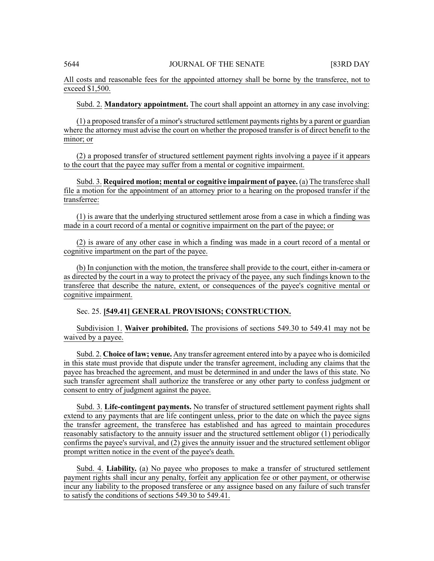All costs and reasonable fees for the appointed attorney shall be borne by the transferee, not to exceed \$1,500.

Subd. 2. **Mandatory appointment.** The court shall appoint an attorney in any case involving:

 $(1)$  a proposed transfer of a minor's structured settlement payments rights by a parent or guardian where the attorney must advise the court on whether the proposed transfer is of direct benefit to the minor; or

(2) a proposed transfer of structured settlement payment rights involving a payee if it appears to the court that the payee may suffer from a mental or cognitive impairment.

Subd. 3. **Required motion; mental or cognitive impairment of payee.** (a) The transferee shall file a motion for the appointment of an attorney prior to a hearing on the proposed transfer if the transferree:

(1) is aware that the underlying structured settlement arose from a case in which a finding was made in a court record of a mental or cognitive impairment on the part of the payee; or

(2) is aware of any other case in which a finding was made in a court record of a mental or cognitive impartment on the part of the payee.

(b) In conjunction with the motion, the transferee shall provide to the court, either in-camera or as directed by the court in a way to protect the privacy of the payee, any such findings known to the transferee that describe the nature, extent, or consequences of the payee's cognitive mental or cognitive impairment.

# Sec. 25. **[549.41] GENERAL PROVISIONS; CONSTRUCTION.**

Subdivision 1. **Waiver prohibited.** The provisions of sections 549.30 to 549.41 may not be waived by a payee.

Subd. 2. **Choice of law; venue.** Any transfer agreement entered into by a payee who is domiciled in this state must provide that dispute under the transfer agreement, including any claims that the payee has breached the agreement, and must be determined in and under the laws of this state. No such transfer agreement shall authorize the transferee or any other party to confess judgment or consent to entry of judgment against the payee.

Subd. 3. **Life-contingent payments.** No transfer of structured settlement payment rights shall extend to any payments that are life contingent unless, prior to the date on which the payee signs the transfer agreement, the transferee has established and has agreed to maintain procedures reasonably satisfactory to the annuity issuer and the structured settlement obligor (1) periodically confirms the payee's survival, and (2) gives the annuity issuer and the structured settlement obligor prompt written notice in the event of the payee's death.

Subd. 4. **Liability.** (a) No payee who proposes to make a transfer of structured settlement payment rights shall incur any penalty, forfeit any application fee or other payment, or otherwise incur any liability to the proposed transferee or any assignee based on any failure of such transfer to satisfy the conditions of sections 549.30 to 549.41.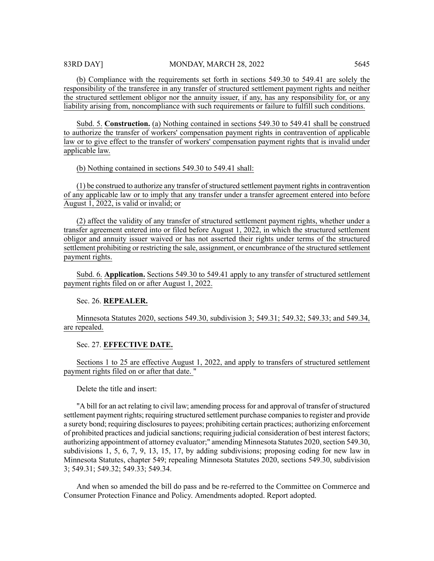(b) Compliance with the requirements set forth in sections 549.30 to 549.41 are solely the responsibility of the transferee in any transfer of structured settlement payment rights and neither the structured settlement obligor nor the annuity issuer, if any, has any responsibility for, or any liability arising from, noncompliance with such requirements or failure to fulfill such conditions.

Subd. 5. **Construction.** (a) Nothing contained in sections 549.30 to 549.41 shall be construed to authorize the transfer of workers' compensation payment rights in contravention of applicable law or to give effect to the transfer of workers' compensation payment rights that is invalid under applicable law.

(b) Nothing contained in sections 549.30 to 549.41 shall:

 $(1)$  be construed to authorize any transfer of structured settlement payment rights in contravention of any applicable law or to imply that any transfer under a transfer agreement entered into before August 1, 2022, is valid or invalid; or

(2) affect the validity of any transfer of structured settlement payment rights, whether under a transfer agreement entered into or filed before August 1, 2022, in which the structured settlement obligor and annuity issuer waived or has not asserted their rights under terms of the structured settlement prohibiting or restricting the sale, assignment, or encumbrance of the structured settlement payment rights.

Subd. 6. **Application.** Sections 549.30 to 549.41 apply to any transfer of structured settlement payment rights filed on or after August 1, 2022.

Sec. 26. **REPEALER.**

Minnesota Statutes 2020, sections 549.30, subdivision 3; 549.31; 549.32; 549.33; and 549.34, are repealed.

Sec. 27. **EFFECTIVE DATE.**

Sections 1 to 25 are effective August 1, 2022, and apply to transfers of structured settlement payment rights filed on or after that date. "

Delete the title and insert:

"A bill for an act relating to civil law; amending process for and approval of transfer of structured settlement payment rights; requiring structured settlement purchase companiesto register and provide a surety bond; requiring disclosures to payees; prohibiting certain practices; authorizing enforcement of prohibited practices and judicialsanctions; requiring judicial consideration of best interest factors; authorizing appointment of attorney evaluator;" amending Minnesota Statutes 2020, section 549.30, subdivisions 1, 5, 6, 7, 9, 13, 15, 17, by adding subdivisions; proposing coding for new law in Minnesota Statutes, chapter 549; repealing Minnesota Statutes 2020, sections 549.30, subdivision 3; 549.31; 549.32; 549.33; 549.34.

And when so amended the bill do pass and be re-referred to the Committee on Commerce and Consumer Protection Finance and Policy. Amendments adopted. Report adopted.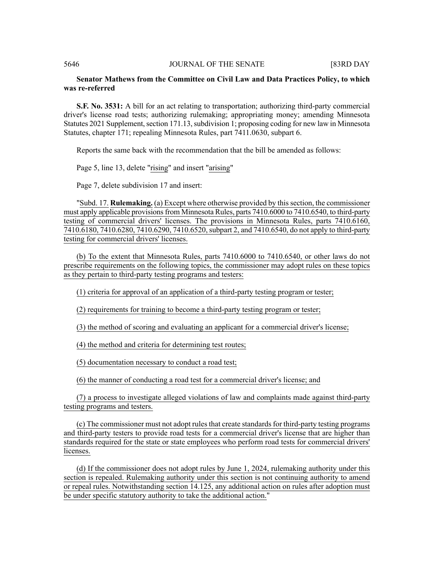## 5646 JOURNAL OF THE SENATE [83RD DAY

# **Senator Mathews from the Committee on Civil Law and Data Practices Policy, to which was re-referred**

**S.F. No. 3531:** A bill for an act relating to transportation; authorizing third-party commercial driver's license road tests; authorizing rulemaking; appropriating money; amending Minnesota Statutes 2021 Supplement, section 171.13, subdivision 1; proposing coding for new law in Minnesota Statutes, chapter 171; repealing Minnesota Rules, part 7411.0630, subpart 6.

Reports the same back with the recommendation that the bill be amended as follows:

Page 5, line 13, delete "rising" and insert "arising"

Page 7, delete subdivision 17 and insert:

"Subd. 17. **Rulemaking.** (a) Except where otherwise provided by thissection, the commissioner must apply applicable provisions from Minnesota Rules, parts 7410.6000 to 7410.6540, to third-party testing of commercial drivers' licenses. The provisions in Minnesota Rules, parts 7410.6160, 7410.6180, 7410.6280, 7410.6290, 7410.6520,subpart 2, and 7410.6540, do not apply to third-party testing for commercial drivers' licenses.

(b) To the extent that Minnesota Rules, parts 7410.6000 to 7410.6540, or other laws do not prescribe requirements on the following topics, the commissioner may adopt rules on these topics as they pertain to third-party testing programs and testers:

(1) criteria for approval of an application of a third-party testing program or tester;

(2) requirements for training to become a third-party testing program or tester;

(3) the method of scoring and evaluating an applicant for a commercial driver's license;

(4) the method and criteria for determining test routes;

(5) documentation necessary to conduct a road test;

(6) the manner of conducting a road test for a commercial driver's license; and

(7) a process to investigate alleged violations of law and complaints made against third-party testing programs and testers.

(c) The commissioner must not adopt rules that create standards for third-party testing programs and third-party testers to provide road tests for a commercial driver's license that are higher than standards required for the state or state employees who perform road tests for commercial drivers' licenses.

(d) If the commissioner does not adopt rules by June 1, 2024, rulemaking authority under this section is repealed. Rulemaking authority under this section is not continuing authority to amend or repeal rules. Notwithstanding section 14.125, any additional action on rules after adoption must be under specific statutory authority to take the additional action."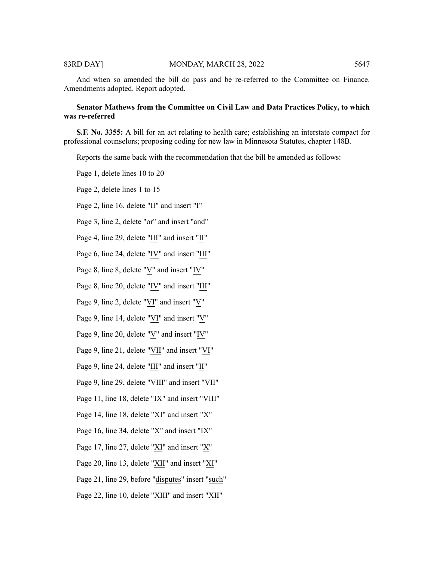And when so amended the bill do pass and be re-referred to the Committee on Finance. Amendments adopted. Report adopted.

# **Senator Mathews from the Committee on Civil Law and Data Practices Policy, to which was re-referred**

**S.F. No. 3355:** A bill for an act relating to health care; establishing an interstate compact for professional counselors; proposing coding for new law in Minnesota Statutes, chapter 148B.

Reports the same back with the recommendation that the bill be amended as follows:

Page 1, delete lines 10 to 20

Page 2, delete lines 1 to 15

Page 2, line 16, delete "II" and insert "I"

Page 3, line 2, delete "or" and insert "and"

Page 4, line 29, delete "III" and insert "II"

Page 6, line 24, delete "IV" and insert "III"

Page 8, line 8, delete "V" and insert "IV"

Page 8, line 20, delete "IV" and insert "III"

Page 9, line 2, delete "VI" and insert "V"

Page 9, line 14, delete "VI" and insert "V"

Page 9, line 20, delete " $\underline{V}$ " and insert " $\underline{IV}$ "

Page 9, line 21, delete "VII" and insert "VI"

Page 9, line 24, delete "III" and insert "II"

Page 9, line 29, delete "VIII" and insert "VII"

Page 11, line 18, delete "IX" and insert "VIII"

Page 14, line 18, delete "XI" and insert "X"

Page 16, line 34, delete "X" and insert "IX"

Page 17, line 27, delete "XI" and insert "X"

Page 20, line 13, delete "XII" and insert "XI"

Page 21, line 29, before "disputes" insert "such"

Page 22, line 10, delete "XIII" and insert "XII"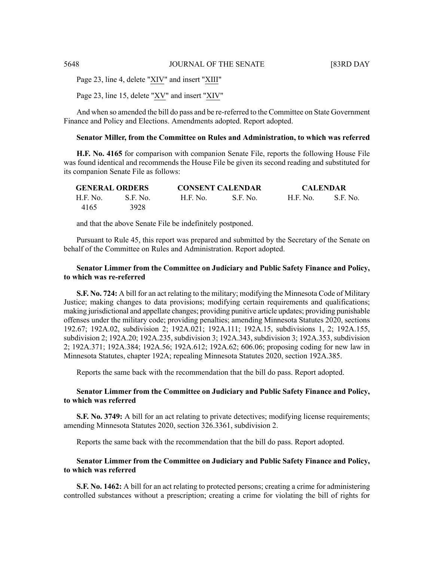Page 23, line 4, delete "XIV" and insert "XIII"

Page 23, line 15, delete "XV" and insert "XIV"

And when so amended the bill do pass and be re-referred to the Committee on State Government Finance and Policy and Elections. Amendments adopted. Report adopted.

# **Senator Miller, from the Committee on Rules and Administration, to which was referred**

**H.F. No. 4165** for comparison with companion Senate File, reports the following House File was found identical and recommends the House File be given its second reading and substituted for its companion Senate File as follows:

|          | <b>GENERAL ORDERS</b> | <b>CONSENT CALENDAR</b> |           | <b>CALENDAR</b> |          |
|----------|-----------------------|-------------------------|-----------|-----------------|----------|
| H.F. No. | S.F. No.              | H.F. No.                | -S.F. No. | <b>H.F. No.</b> | S.F. No. |
| 4165     | 3928                  |                         |           |                 |          |

and that the above Senate File be indefinitely postponed.

Pursuant to Rule 45, this report was prepared and submitted by the Secretary of the Senate on behalf of the Committee on Rules and Administration. Report adopted.

# **Senator Limmer from the Committee on Judiciary and Public Safety Finance and Policy, to which was re-referred**

**S.F. No. 724:** A bill for an act relating to the military; modifying the Minnesota Code of Military Justice; making changes to data provisions; modifying certain requirements and qualifications; making jurisdictional and appellate changes; providing punitive article updates; providing punishable offenses under the military code; providing penalties; amending Minnesota Statutes 2020, sections 192.67; 192A.02, subdivision 2; 192A.021; 192A.111; 192A.15, subdivisions 1, 2; 192A.155, subdivision 2; 192A.20; 192A.235, subdivision 3; 192A.343, subdivision 3; 192A.353, subdivision 2; 192A.371; 192A.384; 192A.56; 192A.612; 192A.62; 606.06; proposing coding for new law in Minnesota Statutes, chapter 192A; repealing Minnesota Statutes 2020, section 192A.385.

Reports the same back with the recommendation that the bill do pass. Report adopted.

# **Senator Limmer from the Committee on Judiciary and Public Safety Finance and Policy, to which was referred**

**S.F. No. 3749:** A bill for an act relating to private detectives; modifying license requirements; amending Minnesota Statutes 2020, section 326.3361, subdivision 2.

Reports the same back with the recommendation that the bill do pass. Report adopted.

# **Senator Limmer from the Committee on Judiciary and Public Safety Finance and Policy, to which was referred**

**S.F. No. 1462:** A bill for an act relating to protected persons; creating a crime for administering controlled substances without a prescription; creating a crime for violating the bill of rights for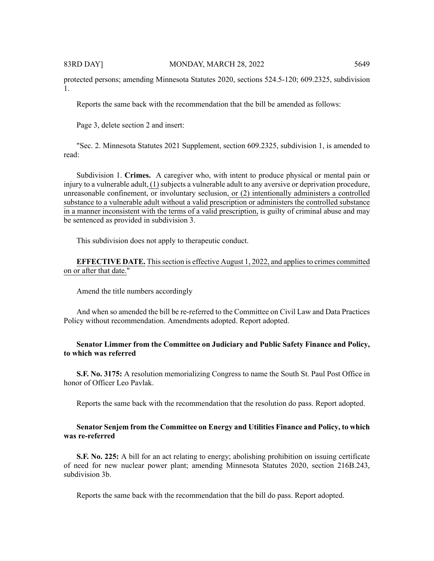protected persons; amending Minnesota Statutes 2020, sections 524.5-120; 609.2325, subdivision 1.

Reports the same back with the recommendation that the bill be amended as follows:

Page 3, delete section 2 and insert:

"Sec. 2. Minnesota Statutes 2021 Supplement, section 609.2325, subdivision 1, is amended to read:

Subdivision 1. **Crimes.** A caregiver who, with intent to produce physical or mental pain or injury to a vulnerable adult, (1) subjects a vulnerable adult to any aversive or deprivation procedure, unreasonable confinement, or involuntary seclusion, or (2) intentionally administers a controlled substance to a vulnerable adult without a valid prescription or administers the controlled substance in a manner inconsistent with the terms of a valid prescription, is guilty of criminal abuse and may be sentenced as provided in subdivision 3.

This subdivision does not apply to therapeutic conduct.

**EFFECTIVE DATE.** Thissection is effective August 1, 2022, and appliesto crimes committed on or after that date."

Amend the title numbers accordingly

And when so amended the bill be re-referred to the Committee on Civil Law and Data Practices Policy without recommendation. Amendments adopted. Report adopted.

# **Senator Limmer from the Committee on Judiciary and Public Safety Finance and Policy, to which was referred**

**S.F. No. 3175:** A resolution memorializing Congress to name the South St. Paul Post Office in honor of Officer Leo Pavlak.

Reports the same back with the recommendation that the resolution do pass. Report adopted.

# **Senator Senjem from the Committee on Energy and Utilities Finance and Policy, to which was re-referred**

**S.F. No. 225:** A bill for an act relating to energy; abolishing prohibition on issuing certificate of need for new nuclear power plant; amending Minnesota Statutes 2020, section 216B.243, subdivision 3b.

Reports the same back with the recommendation that the bill do pass. Report adopted.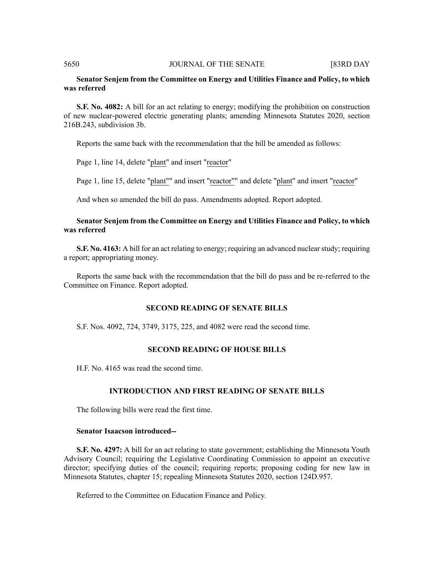#### 5650 JOURNAL OF THE SENATE [83RD DAY

# **Senator Senjem from the Committee on Energy and Utilities Finance and Policy, to which was referred**

**S.F. No. 4082:** A bill for an act relating to energy; modifying the prohibition on construction of new nuclear-powered electric generating plants; amending Minnesota Statutes 2020, section 216B.243, subdivision 3b.

Reports the same back with the recommendation that the bill be amended as follows:

Page 1, line 14, delete "plant" and insert "reactor"

Page 1, line 15, delete "plant"" and insert "reactor"" and delete "plant" and insert "reactor"

And when so amended the bill do pass. Amendments adopted. Report adopted.

# **Senator Senjem from the Committee on Energy and Utilities Finance and Policy, to which was referred**

**S.F. No. 4163:** A bill for an act relating to energy; requiring an advanced nuclear study; requiring a report; appropriating money.

Reports the same back with the recommendation that the bill do pass and be re-referred to the Committee on Finance. Report adopted.

# **SECOND READING OF SENATE BILLS**

S.F. Nos. 4092, 724, 3749, 3175, 225, and 4082 were read the second time.

#### **SECOND READING OF HOUSE BILLS**

H.F. No. 4165 was read the second time.

# **INTRODUCTION AND FIRST READING OF SENATE BILLS**

The following bills were read the first time.

#### **Senator Isaacson introduced--**

**S.F. No. 4297:** A bill for an act relating to state government; establishing the Minnesota Youth Advisory Council; requiring the Legislative Coordinating Commission to appoint an executive director; specifying duties of the council; requiring reports; proposing coding for new law in Minnesota Statutes, chapter 15; repealing Minnesota Statutes 2020, section 124D.957.

Referred to the Committee on Education Finance and Policy.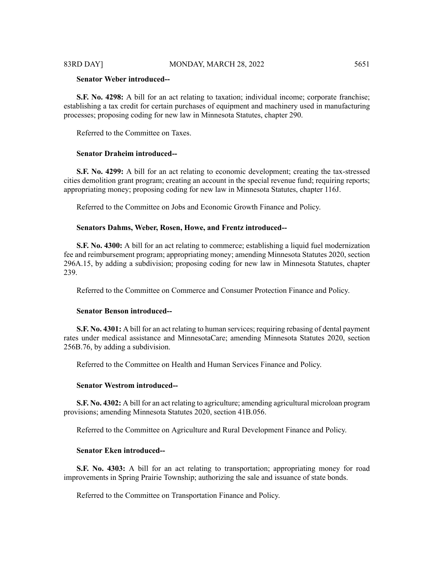#### 83RD DAY] MONDAY, MARCH 28, 2022 5651

# **Senator Weber introduced--**

**S.F. No. 4298:** A bill for an act relating to taxation; individual income; corporate franchise; establishing a tax credit for certain purchases of equipment and machinery used in manufacturing processes; proposing coding for new law in Minnesota Statutes, chapter 290.

Referred to the Committee on Taxes.

# **Senator Draheim introduced--**

**S.F. No. 4299:** A bill for an act relating to economic development; creating the tax-stressed cities demolition grant program; creating an account in the special revenue fund; requiring reports; appropriating money; proposing coding for new law in Minnesota Statutes, chapter 116J.

Referred to the Committee on Jobs and Economic Growth Finance and Policy.

#### **Senators Dahms, Weber, Rosen, Howe, and Frentz introduced--**

**S.F. No. 4300:** A bill for an act relating to commerce; establishing a liquid fuel modernization fee and reimbursement program; appropriating money; amending Minnesota Statutes 2020, section 296A.15, by adding a subdivision; proposing coding for new law in Minnesota Statutes, chapter 239.

Referred to the Committee on Commerce and Consumer Protection Finance and Policy.

#### **Senator Benson introduced--**

**S.F. No. 4301:** A bill for an act relating to human services; requiring rebasing of dental payment rates under medical assistance and MinnesotaCare; amending Minnesota Statutes 2020, section 256B.76, by adding a subdivision.

Referred to the Committee on Health and Human Services Finance and Policy.

# **Senator Westrom introduced--**

**S.F. No. 4302:** A bill for an act relating to agriculture; amending agricultural microloan program provisions; amending Minnesota Statutes 2020, section 41B.056.

Referred to the Committee on Agriculture and Rural Development Finance and Policy.

#### **Senator Eken introduced--**

**S.F. No. 4303:** A bill for an act relating to transportation; appropriating money for road improvements in Spring Prairie Township; authorizing the sale and issuance of state bonds.

Referred to the Committee on Transportation Finance and Policy.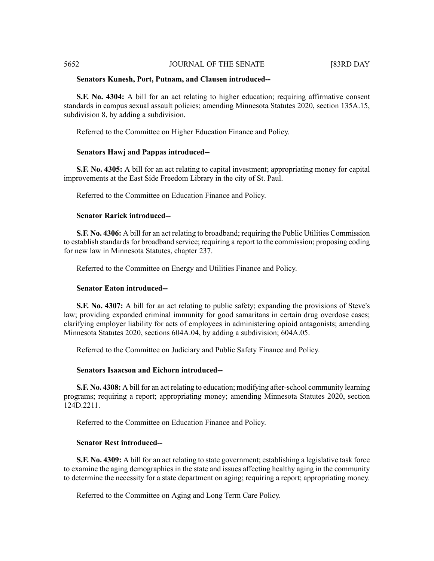# 5652 JOURNAL OF THE SENATE [83RD DAY

#### **Senators Kunesh, Port, Putnam, and Clausen introduced--**

**S.F. No. 4304:** A bill for an act relating to higher education; requiring affirmative consent standards in campus sexual assault policies; amending Minnesota Statutes 2020, section 135A.15, subdivision 8, by adding a subdivision.

Referred to the Committee on Higher Education Finance and Policy.

#### **Senators Hawj and Pappas introduced--**

**S.F. No. 4305:** A bill for an act relating to capital investment; appropriating money for capital improvements at the East Side Freedom Library in the city of St. Paul.

Referred to the Committee on Education Finance and Policy.

# **Senator Rarick introduced--**

**S.F. No. 4306:** A bill for an act relating to broadband; requiring the Public Utilities Commission to establish standards for broadband service; requiring a report to the commission; proposing coding for new law in Minnesota Statutes, chapter 237.

Referred to the Committee on Energy and Utilities Finance and Policy.

# **Senator Eaton introduced--**

**S.F. No. 4307:** A bill for an act relating to public safety; expanding the provisions of Steve's law; providing expanded criminal immunity for good samaritans in certain drug overdose cases; clarifying employer liability for acts of employees in administering opioid antagonists; amending Minnesota Statutes 2020, sections 604A.04, by adding a subdivision; 604A.05.

Referred to the Committee on Judiciary and Public Safety Finance and Policy.

#### **Senators Isaacson and Eichorn introduced--**

**S.F. No. 4308:** A bill for an act relating to education; modifying after-school community learning programs; requiring a report; appropriating money; amending Minnesota Statutes 2020, section 124D.2211.

Referred to the Committee on Education Finance and Policy.

#### **Senator Rest introduced--**

**S.F. No. 4309:** A bill for an act relating to state government; establishing a legislative task force to examine the aging demographics in the state and issues affecting healthy aging in the community to determine the necessity for a state department on aging; requiring a report; appropriating money.

Referred to the Committee on Aging and Long Term Care Policy.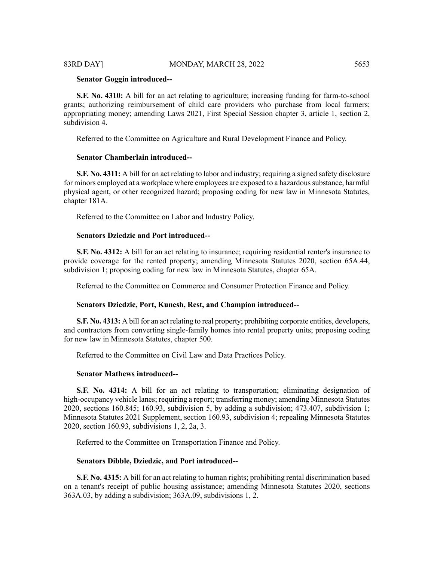#### **Senator Goggin introduced--**

**S.F. No. 4310:** A bill for an act relating to agriculture; increasing funding for farm-to-school grants; authorizing reimbursement of child care providers who purchase from local farmers; appropriating money; amending Laws 2021, First Special Session chapter 3, article 1, section 2, subdivision 4.

Referred to the Committee on Agriculture and Rural Development Finance and Policy.

#### **Senator Chamberlain introduced--**

**S.F. No. 4311:** A bill for an act relating to labor and industry; requiring a signed safety disclosure for minors employed at a workplace where employees are exposed to a hazardoussubstance, harmful physical agent, or other recognized hazard; proposing coding for new law in Minnesota Statutes, chapter 181A.

Referred to the Committee on Labor and Industry Policy.

#### **Senators Dziedzic and Port introduced--**

**S.F. No. 4312:** A bill for an act relating to insurance; requiring residential renter's insurance to provide coverage for the rented property; amending Minnesota Statutes 2020, section 65A.44, subdivision 1; proposing coding for new law in Minnesota Statutes, chapter 65A.

Referred to the Committee on Commerce and Consumer Protection Finance and Policy.

#### **Senators Dziedzic, Port, Kunesh, Rest, and Champion introduced--**

**S.F. No. 4313:** A bill for an act relating to real property; prohibiting corporate entities, developers, and contractors from converting single-family homes into rental property units; proposing coding for new law in Minnesota Statutes, chapter 500.

Referred to the Committee on Civil Law and Data Practices Policy.

#### **Senator Mathews introduced--**

**S.F. No. 4314:** A bill for an act relating to transportation; eliminating designation of high-occupancy vehicle lanes; requiring a report; transferring money; amending Minnesota Statutes 2020, sections 160.845; 160.93, subdivision 5, by adding a subdivision; 473.407, subdivision 1; Minnesota Statutes 2021 Supplement, section 160.93, subdivision 4; repealing Minnesota Statutes 2020, section 160.93, subdivisions 1, 2, 2a, 3.

Referred to the Committee on Transportation Finance and Policy.

## **Senators Dibble, Dziedzic, and Port introduced--**

**S.F. No. 4315:** A bill for an act relating to human rights; prohibiting rental discrimination based on a tenant's receipt of public housing assistance; amending Minnesota Statutes 2020, sections 363A.03, by adding a subdivision; 363A.09, subdivisions 1, 2.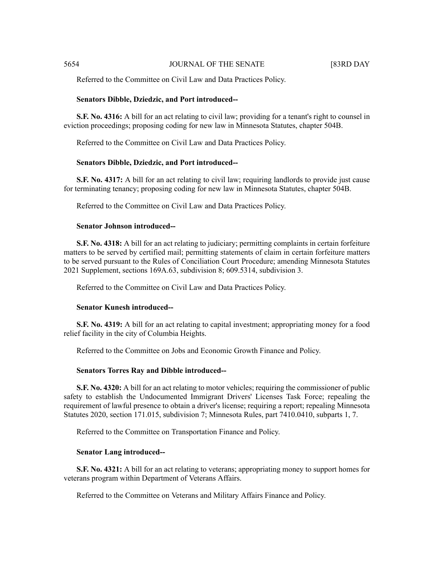Referred to the Committee on Civil Law and Data Practices Policy.

#### **Senators Dibble, Dziedzic, and Port introduced--**

**S.F. No. 4316:** A bill for an act relating to civil law; providing for a tenant's right to counsel in eviction proceedings; proposing coding for new law in Minnesota Statutes, chapter 504B.

Referred to the Committee on Civil Law and Data Practices Policy.

#### **Senators Dibble, Dziedzic, and Port introduced--**

**S.F. No. 4317:** A bill for an act relating to civil law; requiring landlords to provide just cause for terminating tenancy; proposing coding for new law in Minnesota Statutes, chapter 504B.

Referred to the Committee on Civil Law and Data Practices Policy.

# **Senator Johnson introduced--**

**S.F. No. 4318:** A bill for an act relating to judiciary; permitting complaints in certain forfeiture matters to be served by certified mail; permitting statements of claim in certain forfeiture matters to be served pursuant to the Rules of Conciliation Court Procedure; amending Minnesota Statutes 2021 Supplement, sections 169A.63, subdivision 8; 609.5314, subdivision 3.

Referred to the Committee on Civil Law and Data Practices Policy.

# **Senator Kunesh introduced--**

**S.F. No. 4319:** A bill for an act relating to capital investment; appropriating money for a food relief facility in the city of Columbia Heights.

Referred to the Committee on Jobs and Economic Growth Finance and Policy.

#### **Senators Torres Ray and Dibble introduced--**

**S.F. No. 4320:** A bill for an act relating to motor vehicles; requiring the commissioner of public safety to establish the Undocumented Immigrant Drivers' Licenses Task Force; repealing the requirement of lawful presence to obtain a driver's license; requiring a report; repealing Minnesota Statutes 2020, section 171.015, subdivision 7; Minnesota Rules, part 7410.0410, subparts 1, 7.

Referred to the Committee on Transportation Finance and Policy.

### **Senator Lang introduced--**

**S.F. No. 4321:** A bill for an act relating to veterans; appropriating money to support homes for veterans program within Department of Veterans Affairs.

Referred to the Committee on Veterans and Military Affairs Finance and Policy.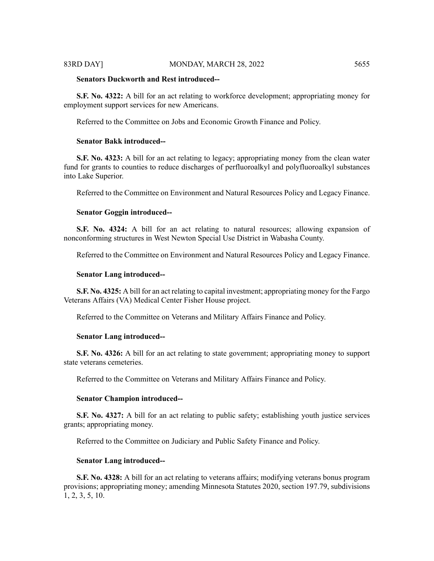#### 83RD DAY] MONDAY, MARCH 28, 2022 5655

# **Senators Duckworth and Rest introduced--**

**S.F. No. 4322:** A bill for an act relating to workforce development; appropriating money for employment support services for new Americans.

Referred to the Committee on Jobs and Economic Growth Finance and Policy.

# **Senator Bakk introduced--**

**S.F. No. 4323:** A bill for an act relating to legacy; appropriating money from the clean water fund for grants to counties to reduce discharges of perfluoroalkyl and polyfluoroalkyl substances into Lake Superior.

Referred to the Committee on Environment and Natural Resources Policy and Legacy Finance.

#### **Senator Goggin introduced--**

**S.F. No. 4324:** A bill for an act relating to natural resources; allowing expansion of nonconforming structures in West Newton Special Use District in Wabasha County.

Referred to the Committee on Environment and Natural Resources Policy and Legacy Finance.

#### **Senator Lang introduced--**

**S.F. No. 4325:** A bill for an act relating to capital investment; appropriating money for the Fargo Veterans Affairs (VA) Medical Center Fisher House project.

Referred to the Committee on Veterans and Military Affairs Finance and Policy.

#### **Senator Lang introduced--**

**S.F. No. 4326:** A bill for an act relating to state government; appropriating money to support state veterans cemeteries.

Referred to the Committee on Veterans and Military Affairs Finance and Policy.

#### **Senator Champion introduced--**

**S.F. No. 4327:** A bill for an act relating to public safety; establishing youth justice services grants; appropriating money.

Referred to the Committee on Judiciary and Public Safety Finance and Policy.

#### **Senator Lang introduced--**

**S.F. No. 4328:** A bill for an act relating to veterans affairs; modifying veterans bonus program provisions; appropriating money; amending Minnesota Statutes 2020, section 197.79, subdivisions 1, 2, 3, 5, 10.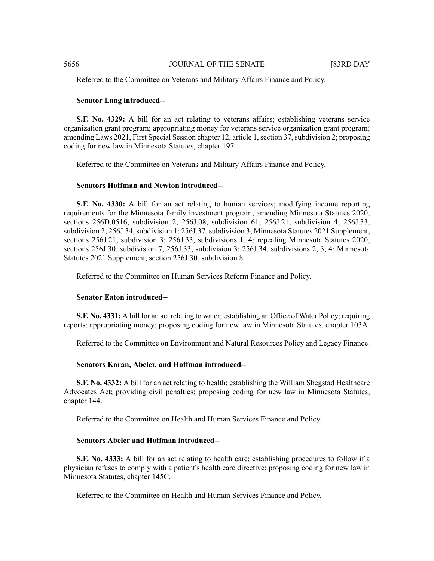#### 5656 JOURNAL OF THE SENATE [83RD DAY

Referred to the Committee on Veterans and Military Affairs Finance and Policy.

#### **Senator Lang introduced--**

**S.F. No. 4329:** A bill for an act relating to veterans affairs; establishing veterans service organization grant program; appropriating money for veterans service organization grant program; amending Laws 2021, First Special Session chapter 12, article 1,section 37,subdivision 2; proposing coding for new law in Minnesota Statutes, chapter 197.

Referred to the Committee on Veterans and Military Affairs Finance and Policy.

#### **Senators Hoffman and Newton introduced--**

**S.F. No. 4330:** A bill for an act relating to human services; modifying income reporting requirements for the Minnesota family investment program; amending Minnesota Statutes 2020, sections 256D.0516, subdivision 2; 256J.08, subdivision 61; 256J.21, subdivision 4; 256J.33, subdivision 2; 256J.34, subdivision 1; 256J.37, subdivision 3; Minnesota Statutes 2021 Supplement, sections 256J.21, subdivision 3; 256J.33, subdivisions 1, 4; repealing Minnesota Statutes 2020, sections 256J.30, subdivision 7; 256J.33, subdivision 3; 256J.34, subdivisions 2, 3, 4; Minnesota Statutes 2021 Supplement, section 256J.30, subdivision 8.

Referred to the Committee on Human Services Reform Finance and Policy.

#### **Senator Eaton introduced--**

**S.F. No. 4331:** A bill for an act relating to water; establishing an Office of Water Policy; requiring reports; appropriating money; proposing coding for new law in Minnesota Statutes, chapter 103A.

Referred to the Committee on Environment and Natural Resources Policy and Legacy Finance.

#### **Senators Koran, Abeler, and Hoffman introduced--**

**S.F. No. 4332:** A bill for an act relating to health; establishing the William Shegstad Healthcare Advocates Act; providing civil penalties; proposing coding for new law in Minnesota Statutes, chapter 144.

Referred to the Committee on Health and Human Services Finance and Policy.

# **Senators Abeler and Hoffman introduced--**

**S.F. No. 4333:** A bill for an act relating to health care; establishing procedures to follow if a physician refuses to comply with a patient's health care directive; proposing coding for new law in Minnesota Statutes, chapter 145C.

Referred to the Committee on Health and Human Services Finance and Policy.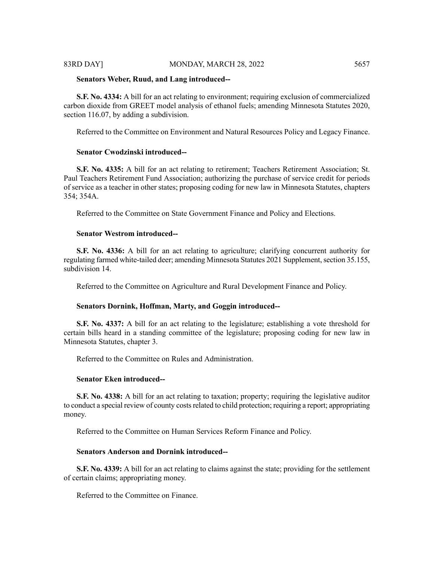#### 83RD DAY] MONDAY, MARCH 28, 2022 5657

#### **Senators Weber, Ruud, and Lang introduced--**

**S.F. No. 4334:** A bill for an act relating to environment; requiring exclusion of commercialized carbon dioxide from GREET model analysis of ethanol fuels; amending Minnesota Statutes 2020, section 116.07, by adding a subdivision.

Referred to the Committee on Environment and Natural Resources Policy and Legacy Finance.

# **Senator Cwodzinski introduced--**

**S.F. No. 4335:** A bill for an act relating to retirement; Teachers Retirement Association; St. Paul Teachers Retirement Fund Association; authorizing the purchase of service credit for periods of service as a teacher in other states; proposing coding for new law in Minnesota Statutes, chapters 354; 354A.

Referred to the Committee on State Government Finance and Policy and Elections.

# **Senator Westrom introduced--**

**S.F. No. 4336:** A bill for an act relating to agriculture; clarifying concurrent authority for regulating farmed white-tailed deer; amending Minnesota Statutes 2021 Supplement, section 35.155, subdivision 14.

Referred to the Committee on Agriculture and Rural Development Finance and Policy.

#### **Senators Dornink, Hoffman, Marty, and Goggin introduced--**

**S.F. No. 4337:** A bill for an act relating to the legislature; establishing a vote threshold for certain bills heard in a standing committee of the legislature; proposing coding for new law in Minnesota Statutes, chapter 3.

Referred to the Committee on Rules and Administration.

# **Senator Eken introduced--**

**S.F. No. 4338:** A bill for an act relating to taxation; property; requiring the legislative auditor to conduct a special review of county costs related to child protection; requiring a report; appropriating money.

Referred to the Committee on Human Services Reform Finance and Policy.

# **Senators Anderson and Dornink introduced--**

**S.F. No. 4339:** A bill for an act relating to claims against the state; providing for the settlement of certain claims; appropriating money.

Referred to the Committee on Finance.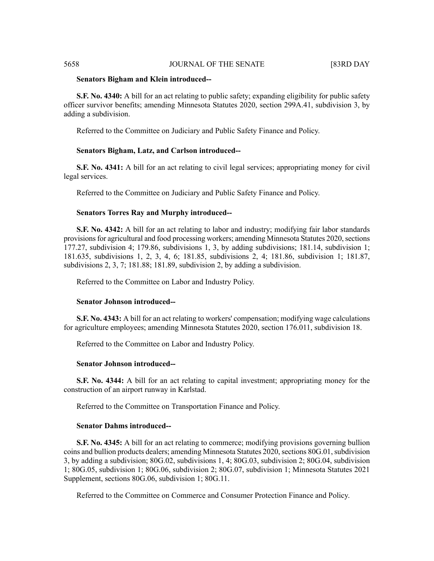# 5658 JOURNAL OF THE SENATE [83RD DAY

#### **Senators Bigham and Klein introduced--**

**S.F. No. 4340:** A bill for an act relating to public safety; expanding eligibility for public safety officer survivor benefits; amending Minnesota Statutes 2020, section 299A.41, subdivision 3, by adding a subdivision.

Referred to the Committee on Judiciary and Public Safety Finance and Policy.

#### **Senators Bigham, Latz, and Carlson introduced--**

**S.F. No. 4341:** A bill for an act relating to civil legal services; appropriating money for civil legal services.

Referred to the Committee on Judiciary and Public Safety Finance and Policy.

#### **Senators Torres Ray and Murphy introduced--**

**S.F. No. 4342:** A bill for an act relating to labor and industry; modifying fair labor standards provisions for agricultural and food processing workers; amending Minnesota Statutes 2020, sections 177.27, subdivision 4; 179.86, subdivisions 1, 3, by adding subdivisions; 181.14, subdivision 1; 181.635, subdivisions 1, 2, 3, 4, 6; 181.85, subdivisions 2, 4; 181.86, subdivision 1; 181.87, subdivisions 2, 3, 7; 181.88; 181.89, subdivision 2, by adding a subdivision.

Referred to the Committee on Labor and Industry Policy.

#### **Senator Johnson introduced--**

**S.F. No. 4343:** A bill for an act relating to workers' compensation; modifying wage calculations for agriculture employees; amending Minnesota Statutes 2020, section 176.011, subdivision 18.

Referred to the Committee on Labor and Industry Policy.

# **Senator Johnson introduced--**

**S.F. No. 4344:** A bill for an act relating to capital investment; appropriating money for the construction of an airport runway in Karlstad.

Referred to the Committee on Transportation Finance and Policy.

### **Senator Dahms introduced--**

**S.F. No. 4345:** A bill for an act relating to commerce; modifying provisions governing bullion coins and bullion products dealers; amending Minnesota Statutes 2020, sections 80G.01, subdivision 3, by adding a subdivision; 80G.02, subdivisions 1, 4; 80G.03, subdivision 2; 80G.04, subdivision 1; 80G.05, subdivision 1; 80G.06, subdivision 2; 80G.07, subdivision 1; Minnesota Statutes 2021 Supplement, sections 80G.06, subdivision 1; 80G.11.

Referred to the Committee on Commerce and Consumer Protection Finance and Policy.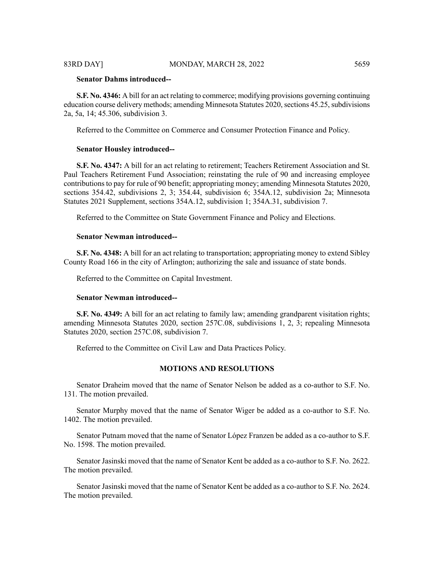# **Senator Dahms introduced--**

**S.F. No. 4346:** A bill for an act relating to commerce; modifying provisions governing continuing education course delivery methods; amending Minnesota Statutes 2020, sections 45.25, subdivisions 2a, 5a, 14; 45.306, subdivision 3.

Referred to the Committee on Commerce and Consumer Protection Finance and Policy.

#### **Senator Housley introduced--**

**S.F. No. 4347:** A bill for an act relating to retirement; Teachers Retirement Association and St. Paul Teachers Retirement Fund Association; reinstating the rule of 90 and increasing employee contributions to pay for rule of 90 benefit; appropriating money; amending Minnesota Statutes 2020, sections 354.42, subdivisions 2, 3; 354.44, subdivision 6; 354A.12, subdivision 2a; Minnesota Statutes 2021 Supplement, sections 354A.12, subdivision 1; 354A.31, subdivision 7.

Referred to the Committee on State Government Finance and Policy and Elections.

#### **Senator Newman introduced--**

**S.F. No. 4348:** A bill for an act relating to transportation; appropriating money to extend Sibley County Road 166 in the city of Arlington; authorizing the sale and issuance of state bonds.

Referred to the Committee on Capital Investment.

#### **Senator Newman introduced--**

**S.F. No. 4349:** A bill for an act relating to family law; amending grandparent visitation rights; amending Minnesota Statutes 2020, section 257C.08, subdivisions 1, 2, 3; repealing Minnesota Statutes 2020, section 257C.08, subdivision 7.

Referred to the Committee on Civil Law and Data Practices Policy.

#### **MOTIONS AND RESOLUTIONS**

Senator Draheim moved that the name of Senator Nelson be added as a co-author to S.F. No. 131. The motion prevailed.

Senator Murphy moved that the name of Senator Wiger be added as a co-author to S.F. No. 1402. The motion prevailed.

Senator Putnam moved that the name of Senator López Franzen be added as a co-author to S.F. No. 1598. The motion prevailed.

Senator Jasinski moved that the name of Senator Kent be added as a co-author to S.F. No. 2622. The motion prevailed.

Senator Jasinski moved that the name of Senator Kent be added as a co-author to S.F. No. 2624. The motion prevailed.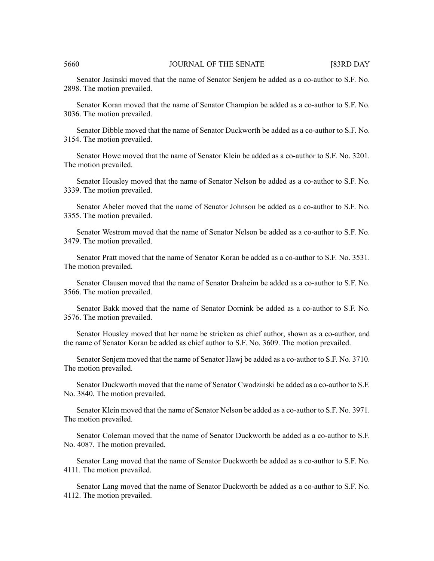#### 5660 JOURNAL OF THE SENATE [83RD DAY

Senator Jasinski moved that the name of Senator Senjem be added as a co-author to S.F. No. 2898. The motion prevailed.

Senator Koran moved that the name of Senator Champion be added as a co-author to S.F. No. 3036. The motion prevailed.

Senator Dibble moved that the name of Senator Duckworth be added as a co-author to S.F. No. 3154. The motion prevailed.

Senator Howe moved that the name of Senator Klein be added as a co-author to S.F. No. 3201. The motion prevailed.

Senator Housley moved that the name of Senator Nelson be added as a co-author to S.F. No. 3339. The motion prevailed.

Senator Abeler moved that the name of Senator Johnson be added as a co-author to S.F. No. 3355. The motion prevailed.

Senator Westrom moved that the name of Senator Nelson be added as a co-author to S.F. No. 3479. The motion prevailed.

Senator Pratt moved that the name of Senator Koran be added as a co-author to S.F. No. 3531. The motion prevailed.

Senator Clausen moved that the name of Senator Draheim be added as a co-author to S.F. No. 3566. The motion prevailed.

Senator Bakk moved that the name of Senator Dornink be added as a co-author to S.F. No. 3576. The motion prevailed.

Senator Housley moved that her name be stricken as chief author, shown as a co-author, and the name of Senator Koran be added as chief author to S.F. No. 3609. The motion prevailed.

Senator Senjem moved that the name of Senator Hawj be added as a co-author to S.F. No. 3710. The motion prevailed.

Senator Duckworth moved that the name of Senator Cwodzinski be added as a co-author to S.F. No. 3840. The motion prevailed.

Senator Klein moved that the name of Senator Nelson be added as a co-author to S.F. No. 3971. The motion prevailed.

Senator Coleman moved that the name of Senator Duckworth be added as a co-author to S.F. No. 4087. The motion prevailed.

Senator Lang moved that the name of Senator Duckworth be added as a co-author to S.F. No. 4111. The motion prevailed.

Senator Lang moved that the name of Senator Duckworth be added as a co-author to S.F. No. 4112. The motion prevailed.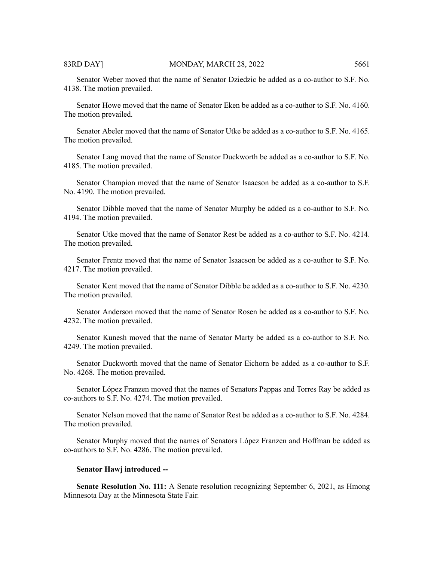Senator Weber moved that the name of Senator Dziedzic be added as a co-author to S.F. No. 4138. The motion prevailed.

Senator Howe moved that the name of Senator Eken be added as a co-author to S.F. No. 4160. The motion prevailed.

Senator Abeler moved that the name of Senator Utke be added as a co-author to S.F. No. 4165. The motion prevailed.

Senator Lang moved that the name of Senator Duckworth be added as a co-author to S.F. No. 4185. The motion prevailed.

Senator Champion moved that the name of Senator Isaacson be added as a co-author to S.F. No. 4190. The motion prevailed.

Senator Dibble moved that the name of Senator Murphy be added as a co-author to S.F. No. 4194. The motion prevailed.

Senator Utke moved that the name of Senator Rest be added as a co-author to S.F. No. 4214. The motion prevailed.

Senator Frentz moved that the name of Senator Isaacson be added as a co-author to S.F. No. 4217. The motion prevailed.

Senator Kent moved that the name of Senator Dibble be added as a co-author to S.F. No. 4230. The motion prevailed.

Senator Anderson moved that the name of Senator Rosen be added as a co-author to S.F. No. 4232. The motion prevailed.

Senator Kunesh moved that the name of Senator Marty be added as a co-author to S.F. No. 4249. The motion prevailed.

Senator Duckworth moved that the name of Senator Eichorn be added as a co-author to S.F. No. 4268. The motion prevailed.

Senator López Franzen moved that the names of Senators Pappas and Torres Ray be added as co-authors to S.F. No. 4274. The motion prevailed.

Senator Nelson moved that the name of Senator Rest be added as a co-author to S.F. No. 4284. The motion prevailed.

Senator Murphy moved that the names of Senators López Franzen and Hoffman be added as co-authors to S.F. No. 4286. The motion prevailed.

#### **Senator Hawj introduced --**

**Senate Resolution No. 111:** A Senate resolution recognizing September 6, 2021, as Hmong Minnesota Day at the Minnesota State Fair.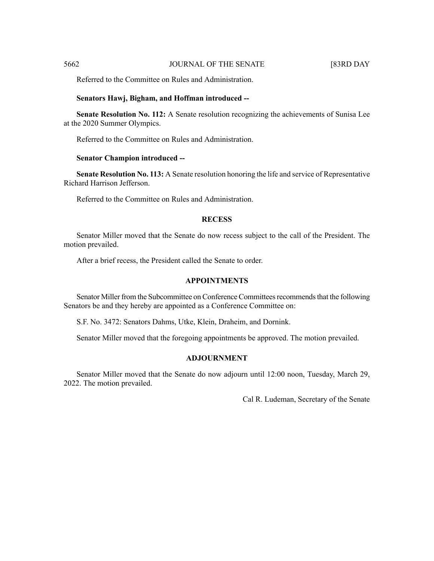Referred to the Committee on Rules and Administration.

#### **Senators Hawj, Bigham, and Hoffman introduced --**

**Senate Resolution No. 112:** A Senate resolution recognizing the achievements of Sunisa Lee at the 2020 Summer Olympics.

Referred to the Committee on Rules and Administration.

#### **Senator Champion introduced --**

**Senate Resolution No. 113:** A Senate resolution honoring the life and service of Representative Richard Harrison Jefferson.

Referred to the Committee on Rules and Administration.

# **RECESS**

Senator Miller moved that the Senate do now recess subject to the call of the President. The motion prevailed.

After a brief recess, the President called the Senate to order.

# **APPOINTMENTS**

Senator Miller from the Subcommittee on Conference Committees recommends that the following Senators be and they hereby are appointed as a Conference Committee on:

S.F. No. 3472: Senators Dahms, Utke, Klein, Draheim, and Dornink.

Senator Miller moved that the foregoing appointments be approved. The motion prevailed.

# **ADJOURNMENT**

Senator Miller moved that the Senate do now adjourn until 12:00 noon, Tuesday, March 29, 2022. The motion prevailed.

Cal R. Ludeman, Secretary of the Senate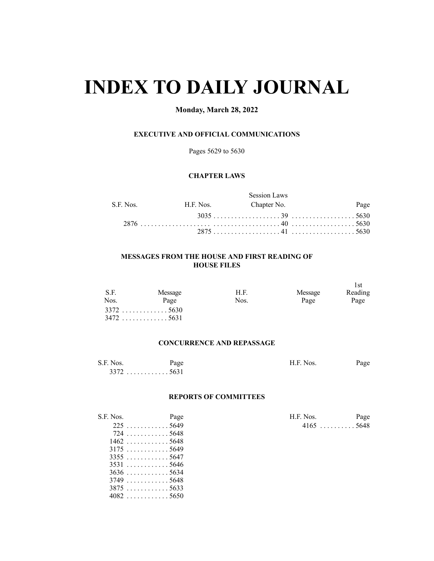# **INDEX TO DAILY JOURNAL**

# **Monday, March 28, 2022**

# **EXECUTIVE AND OFFICIAL COMMUNICATIONS**

Pages 5629 to 5630

# **CHAPTER LAWS**

|             |           | <b>Session Laws</b> |      |
|-------------|-----------|---------------------|------|
| S.F. Nos. - | H.F. Nos. | Chapter No.         | Page |
|             |           |                     |      |
|             |           |                     |      |
|             |           |                     |      |

# **MESSAGES FROM THE HOUSE AND FIRST READING OF HOUSE FILES**

| S.F. | Message     | H.F. | Message | 1st<br>Reading |
|------|-------------|------|---------|----------------|
| Nos. | Page        | Nos. | Page    | Page           |
|      | $3372$ 5630 |      |         |                |
|      | $3472$ 5631 |      |         |                |

# **CONCURRENCE AND REPASSAGE**

| S.F. Nos. | Page  | H.F. Nos. | Page |
|-----------|-------|-----------|------|
| 3372      | `5631 |           |      |

# **REPORTS OF COMMITTEES**

| S.F. Nos. | Page                             | H.F. Nos.   | Page |
|-----------|----------------------------------|-------------|------|
|           | $225$ 5649                       | $4165$ 5648 |      |
|           | $724$ 5648                       |             |      |
|           | $1462$ 5648                      |             |      |
|           | $3175$ 5649                      |             |      |
|           | $3355 \dots $                    |             |      |
|           | 35315646                         |             |      |
|           | $3636$ 5634                      |             |      |
|           | $3749 \ldots \ldots \ldots 5648$ |             |      |
|           | $3875 \dots  5633$               |             |      |
|           | $4082$ 5650                      |             |      |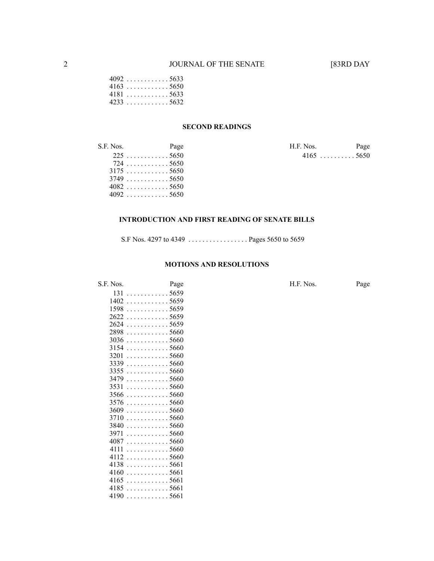|  |  |  |  |  |  | 4092 5633 |
|--|--|--|--|--|--|-----------|
|  |  |  |  |  |  | 4163 5650 |
|  |  |  |  |  |  | 4181 5633 |
|  |  |  |  |  |  | 4233 5632 |

# **SECOND READINGS**

| S.F. Nos. | Page                      | H.F. Nos. | Page        |
|-----------|---------------------------|-----------|-------------|
|           | $225 \dots  5650$         |           | $4165$ 5650 |
|           | 7245650                   |           |             |
|           | $3175$ 5650               |           |             |
|           | $3749 \ldots \ldots 5650$ |           |             |
|           | $4082$ 5650               |           |             |
|           | $4092$ 5650               |           |             |

# **INTRODUCTION AND FIRST READING OF SENATE BILLS**

S.F Nos. 4297 to 4349 . . . . . . . . . . . . . . . . . Pages 5650 to 5659

### **MOTIONS AND RESOLUTIONS**

| S.F. Nos. | Page                                    | H.F. Nos. | Page |
|-----------|-----------------------------------------|-----------|------|
|           | 1315659                                 |           |      |
|           | $1402$ 5659                             |           |      |
|           | $1598$ 5659                             |           |      |
|           | $2622$ 5659                             |           |      |
|           | 2624 5659                               |           |      |
|           | $2898 \ldots \ldots \ldots 5660$        |           |      |
|           | $3036 \dots  \dots 5660$                |           |      |
|           | $3154$ 5660                             |           |      |
|           | $3201$ 5660                             |           |      |
|           | $3339$ 5660                             |           |      |
|           | $3355 \ldots \ldots \ldots 5660$        |           |      |
|           | $3479$ 5660                             |           |      |
|           | 35315660                                |           |      |
|           | $3566$ 5660                             |           |      |
|           | $3576$ 5660                             |           |      |
|           | $3609$ 5660                             |           |      |
|           | $3710$ 5660                             |           |      |
|           | $3840 \ldots \ldots \ldots 5660$        |           |      |
|           | $3971$ 5660                             |           |      |
|           | 40875660                                |           |      |
|           | 41115660                                |           |      |
|           | $4112 \ldots \ldots \ldots \ldots 5660$ |           |      |
|           | $4138$ 5661                             |           |      |
|           | $4160$ 5661                             |           |      |
|           | $4165$ 5661                             |           |      |
|           | 41855661                                |           |      |
|           | $4190$ 5661                             |           |      |
|           |                                         |           |      |